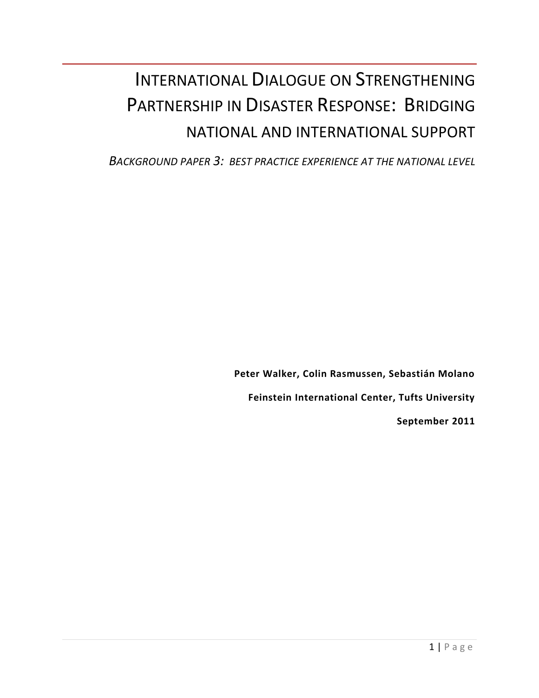# INTERNATIONAL DIALOGUE ON STRENGTHENING PARTNERSHIP IN DISASTER RESPONSE: BRIDGING NATIONAL AND INTERNATIONAL SUPPORT

*BACKGROUND PAPER 3: BEST PRACTICE EXPERIENCE AT THE NATIONAL LEVEL*

**Peter Walker, Colin Rasmussen, Sebastián Molano Feinstein International Center, Tufts University September 2011**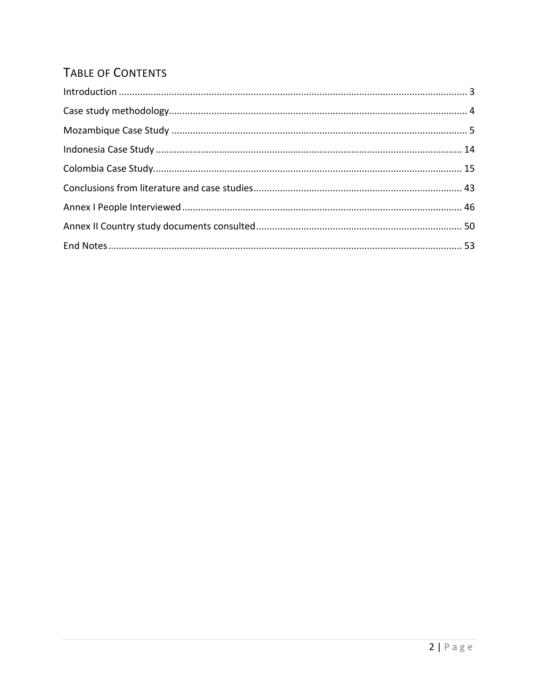# TABLE OF CONTENTS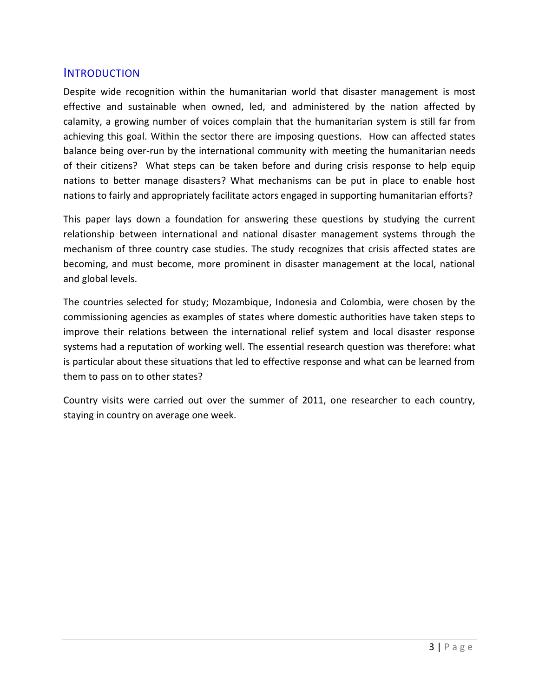#### <span id="page-2-0"></span>**INTRODUCTION**

Despite wide recognition within the humanitarian world that disaster management is most effective and sustainable when owned, led, and administered by the nation affected by calamity, a growing number of voices complain that the humanitarian system is still far from achieving this goal. Within the sector there are imposing questions. How can affected states balance being over-run by the international community with meeting the humanitarian needs of their citizens? What steps can be taken before and during crisis response to help equip nations to better manage disasters? What mechanisms can be put in place to enable host nations to fairly and appropriately facilitate actors engaged in supporting humanitarian efforts?

This paper lays down a foundation for answering these questions by studying the current relationship between international and national disaster management systems through the mechanism of three country case studies. The study recognizes that crisis affected states are becoming, and must become, more prominent in disaster management at the local, national and global levels.

The countries selected for study; Mozambique, Indonesia and Colombia, were chosen by the commissioning agencies as examples of states where domestic authorities have taken steps to improve their relations between the international relief system and local disaster response systems had a reputation of working well. The essential research question was therefore: what is particular about these situations that led to effective response and what can be learned from them to pass on to other states?

<span id="page-2-1"></span>Country visits were carried out over the summer of 2011, one researcher to each country, staying in country on average one week.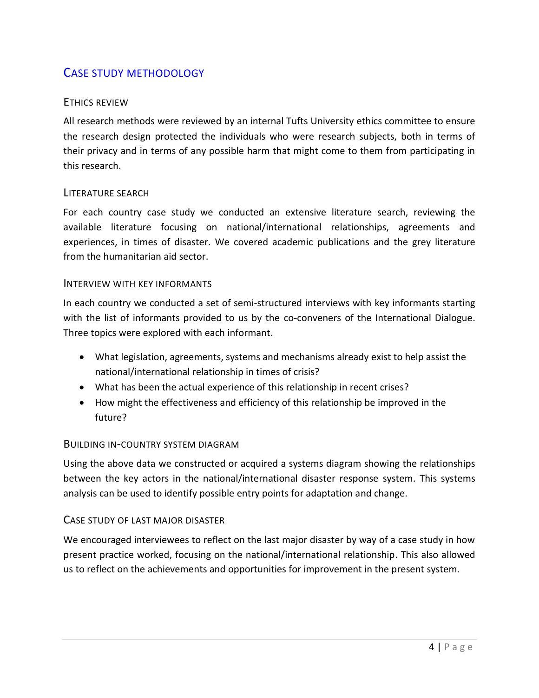# CASE STUDY METHODOLOGY

#### ETHICS REVIEW

All research methods were reviewed by an internal Tufts University ethics committee to ensure the research design protected the individuals who were research subjects, both in terms of their privacy and in terms of any possible harm that might come to them from participating in this research.

#### LITERATURE SEARCH

For each country case study we conducted an extensive literature search, reviewing the available literature focusing on national/international relationships, agreements and experiences, in times of disaster. We covered academic publications and the grey literature from the humanitarian aid sector.

#### INTERVIEW WITH KEY INFORMANTS

In each country we conducted a set of semi-structured interviews with key informants starting with the list of informants provided to us by the co-conveners of the International Dialogue. Three topics were explored with each informant.

- What legislation, agreements, systems and mechanisms already exist to help assist the national/international relationship in times of crisis?
- What has been the actual experience of this relationship in recent crises?
- How might the effectiveness and efficiency of this relationship be improved in the future?

#### BUILDING IN-COUNTRY SYSTEM DIAGRAM

Using the above data we constructed or acquired a systems diagram showing the relationships between the key actors in the national/international disaster response system. This systems analysis can be used to identify possible entry points for adaptation and change.

#### CASE STUDY OF LAST MAJOR DISASTER

We encouraged interviewees to reflect on the last major disaster by way of a case study in how present practice worked, focusing on the national/international relationship. This also allowed us to reflect on the achievements and opportunities for improvement in the present system.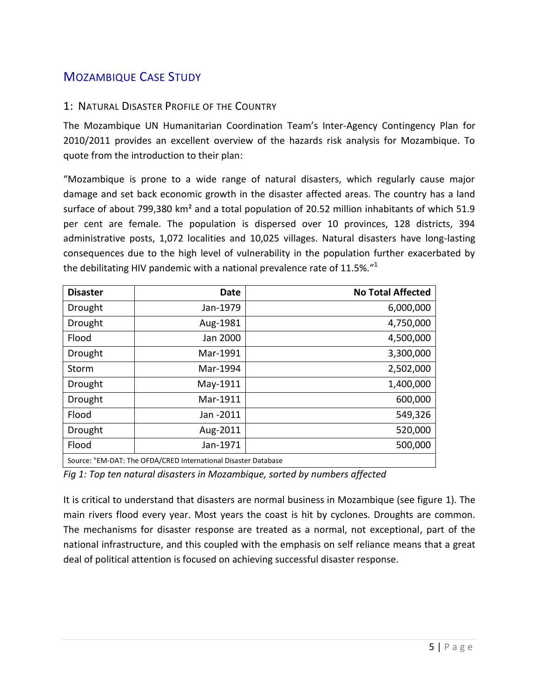# <span id="page-4-0"></span>MOZAMBIQUE CASE STUDY

#### 1: NATURAL DISASTER PROFILE OF THE COUNTRY

The Mozambique UN Humanitarian Coordination Team's Inter-Agency Contingency Plan for 2010/2011 provides an excellent overview of the hazards risk analysis for Mozambique. To quote from the introduction to their plan:

"Mozambique is prone to a wide range of natural disasters, which regularly cause major damage and set back economic growth in the disaster affected areas. The country has a land surface of about 799,380 km<sup>2</sup> and a total population of 20.52 million inhabitants of which 51.9 per cent are female. The population is dispersed over 10 provinces, 128 districts, 394 administrative posts, 1,072 localities and 10,025 villages. Natural disasters have long-lasting consequences due to the high level of vulnerability in the population further exacerbated by the debilitating HIV pandemic with a national prevalence rate of 11.5%."<sup>1</sup>

| <b>Disaster</b>                                                | <b>Date</b> | <b>No Total Affected</b> |
|----------------------------------------------------------------|-------------|--------------------------|
| Drought                                                        | Jan-1979    | 6,000,000                |
| Drought                                                        | Aug-1981    | 4,750,000                |
| Flood                                                          | Jan 2000    | 4,500,000                |
| Drought                                                        | Mar-1991    | 3,300,000                |
| Storm                                                          | Mar-1994    | 2,502,000                |
| Drought                                                        | May-1911    | 1,400,000                |
| Drought                                                        | Mar-1911    | 600,000                  |
| Flood                                                          | Jan -2011   | 549,326                  |
| Drought                                                        | Aug-2011    | 520,000                  |
| Flood                                                          | Jan-1971    | 500,000                  |
| Source: "EM-DAT: The OFDA/CRED International Disaster Database |             |                          |

*Fig 1: Top ten natural disasters in Mozambique, sorted by numbers affected*

It is critical to understand that disasters are normal business in Mozambique (see figure 1). The main rivers flood every year. Most years the coast is hit by cyclones. Droughts are common. The mechanisms for disaster response are treated as a normal, not exceptional, part of the national infrastructure, and this coupled with the emphasis on self reliance means that a great deal of political attention is focused on achieving successful disaster response.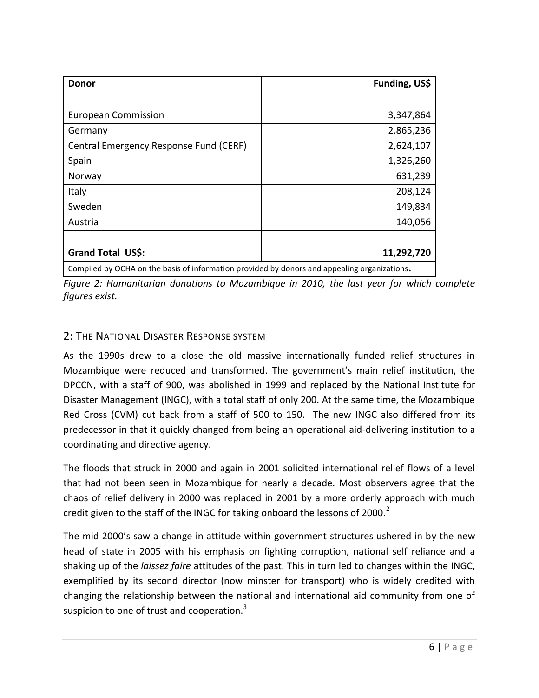| Donor                                                                                        | Funding, US\$ |
|----------------------------------------------------------------------------------------------|---------------|
|                                                                                              |               |
| <b>European Commission</b>                                                                   | 3,347,864     |
| Germany                                                                                      | 2,865,236     |
| Central Emergency Response Fund (CERF)                                                       | 2,624,107     |
| Spain                                                                                        | 1,326,260     |
| Norway                                                                                       | 631,239       |
| Italy                                                                                        | 208,124       |
| Sweden                                                                                       | 149,834       |
| Austria                                                                                      | 140,056       |
|                                                                                              |               |
| Grand Total US\$:                                                                            | 11,292,720    |
| Compiled by OCHA on the basis of information provided by donors and appealing organizations. |               |

*Figure 2: Humanitarian donations to Mozambique in 2010, the last year for which complete figures exist.*

## 2: THE NATIONAL DISASTER RESPONSE SYSTEM

As the 1990s drew to a close the old massive internationally funded relief structures in Mozambique were reduced and transformed. The government's main relief institution, the DPCCN, with a staff of 900, was abolished in 1999 and replaced by the National Institute for Disaster Management (INGC), with a total staff of only 200. At the same time, the Mozambique Red Cross (CVM) cut back from a staff of 500 to 150. The new INGC also differed from its predecessor in that it quickly changed from being an operational aid-delivering institution to a coordinating and directive agency.

The floods that struck in 2000 and again in 2001 solicited international relief flows of a level that had not been seen in Mozambique for nearly a decade. Most observers agree that the chaos of relief delivery in 2000 was replaced in 2001 by a more orderly approach with much credit given to the staff of the INGC for taking onboard the lessons of 2000. $2$ 

The mid 2000's saw a change in attitude within government structures ushered in by the new head of state in 2005 with his emphasis on fighting corruption, national self reliance and a shaking up of the *laissez faire* attitudes of the past. This in turn led to changes within the INGC, exemplified by its second director (now minster for transport) who is widely credited with changing the relationship between the national and international aid community from one of suspicion to one of trust and cooperation.<sup>3</sup>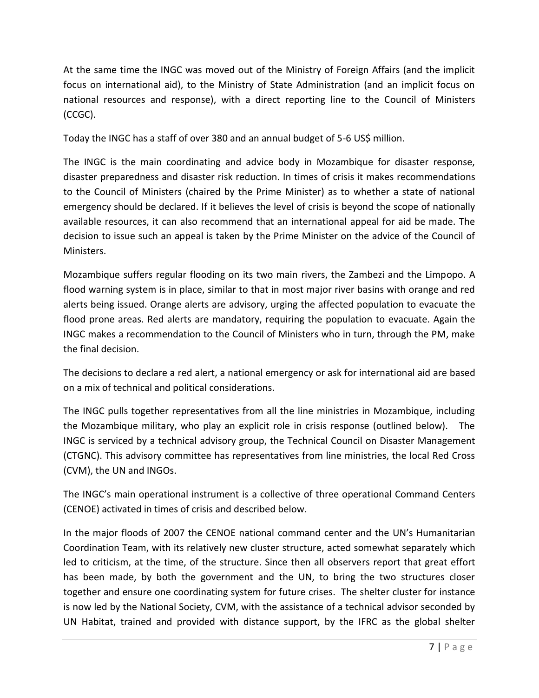At the same time the INGC was moved out of the Ministry of Foreign Affairs (and the implicit focus on international aid), to the Ministry of State Administration (and an implicit focus on national resources and response), with a direct reporting line to the Council of Ministers (CCGC).

Today the INGC has a staff of over 380 and an annual budget of 5-6 US\$ million.

The INGC is the main coordinating and advice body in Mozambique for disaster response, disaster preparedness and disaster risk reduction. In times of crisis it makes recommendations to the Council of Ministers (chaired by the Prime Minister) as to whether a state of national emergency should be declared. If it believes the level of crisis is beyond the scope of nationally available resources, it can also recommend that an international appeal for aid be made. The decision to issue such an appeal is taken by the Prime Minister on the advice of the Council of Ministers.

Mozambique suffers regular flooding on its two main rivers, the Zambezi and the Limpopo. A flood warning system is in place, similar to that in most major river basins with orange and red alerts being issued. Orange alerts are advisory, urging the affected population to evacuate the flood prone areas. Red alerts are mandatory, requiring the population to evacuate. Again the INGC makes a recommendation to the Council of Ministers who in turn, through the PM, make the final decision.

The decisions to declare a red alert, a national emergency or ask for international aid are based on a mix of technical and political considerations.

The INGC pulls together representatives from all the line ministries in Mozambique, including the Mozambique military, who play an explicit role in crisis response (outlined below). The INGC is serviced by a technical advisory group, the Technical Council on Disaster Management (CTGNC). This advisory committee has representatives from line ministries, the local Red Cross (CVM), the UN and INGOs.

The INGC's main operational instrument is a collective of three operational Command Centers (CENOE) activated in times of crisis and described below.

In the major floods of 2007 the CENOE national command center and the UN's Humanitarian Coordination Team, with its relatively new cluster structure, acted somewhat separately which led to criticism, at the time, of the structure. Since then all observers report that great effort has been made, by both the government and the UN, to bring the two structures closer together and ensure one coordinating system for future crises. The shelter cluster for instance is now led by the National Society, CVM, with the assistance of a technical advisor seconded by UN Habitat, trained and provided with distance support, by the IFRC as the global shelter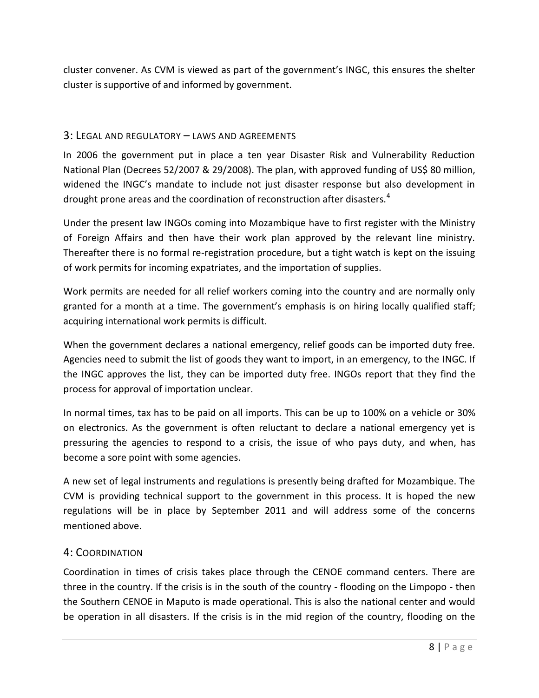cluster convener. As CVM is viewed as part of the government's INGC, this ensures the shelter cluster is supportive of and informed by government.

#### 3: LEGAL AND REGULATORY – LAWS AND AGREEMENTS

In 2006 the government put in place a ten year Disaster Risk and Vulnerability Reduction National Plan (Decrees 52/2007 & 29/2008). The plan, with approved funding of US\$ 80 million, widened the INGC's mandate to include not just disaster response but also development in drought prone areas and the coordination of reconstruction after disasters.<sup>4</sup>

Under the present law INGOs coming into Mozambique have to first register with the Ministry of Foreign Affairs and then have their work plan approved by the relevant line ministry. Thereafter there is no formal re-registration procedure, but a tight watch is kept on the issuing of work permits for incoming expatriates, and the importation of supplies.

Work permits are needed for all relief workers coming into the country and are normally only granted for a month at a time. The government's emphasis is on hiring locally qualified staff; acquiring international work permits is difficult.

When the government declares a national emergency, relief goods can be imported duty free. Agencies need to submit the list of goods they want to import, in an emergency, to the INGC. If the INGC approves the list, they can be imported duty free. INGOs report that they find the process for approval of importation unclear.

In normal times, tax has to be paid on all imports. This can be up to 100% on a vehicle or 30% on electronics. As the government is often reluctant to declare a national emergency yet is pressuring the agencies to respond to a crisis, the issue of who pays duty, and when, has become a sore point with some agencies.

A new set of legal instruments and regulations is presently being drafted for Mozambique. The CVM is providing technical support to the government in this process. It is hoped the new regulations will be in place by September 2011 and will address some of the concerns mentioned above.

#### 4: COORDINATION

Coordination in times of crisis takes place through the CENOE command centers. There are three in the country. If the crisis is in the south of the country - flooding on the Limpopo - then the Southern CENOE in Maputo is made operational. This is also the national center and would be operation in all disasters. If the crisis is in the mid region of the country, flooding on the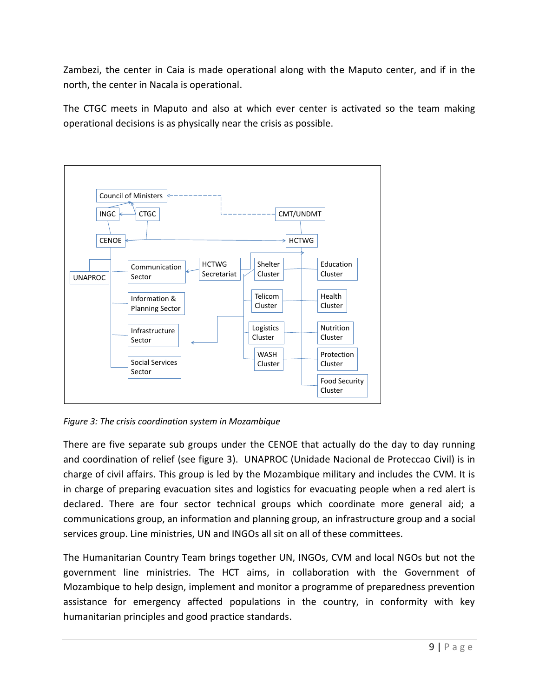Zambezi, the center in Caia is made operational along with the Maputo center, and if in the north, the center in Nacala is operational.

The CTGC meets in Maputo and also at which ever center is activated so the team making operational decisions is as physically near the crisis as possible.



*Figure 3: The crisis coordination system in Mozambique*

There are five separate sub groups under the CENOE that actually do the day to day running and coordination of relief (see figure 3). UNAPROC (Unidade Nacional de Proteccao Civil) is in charge of civil affairs. This group is led by the Mozambique military and includes the CVM. It is in charge of preparing evacuation sites and logistics for evacuating people when a red alert is declared. There are four sector technical groups which coordinate more general aid; a communications group, an information and planning group, an infrastructure group and a social services group. Line ministries, UN and INGOs all sit on all of these committees.

The Humanitarian Country Team brings together UN, INGOs, CVM and local NGOs but not the government line ministries. The HCT aims, in collaboration with the Government of Mozambique to help design, implement and monitor a programme of preparedness prevention assistance for emergency affected populations in the country, in conformity with key humanitarian principles and good practice standards.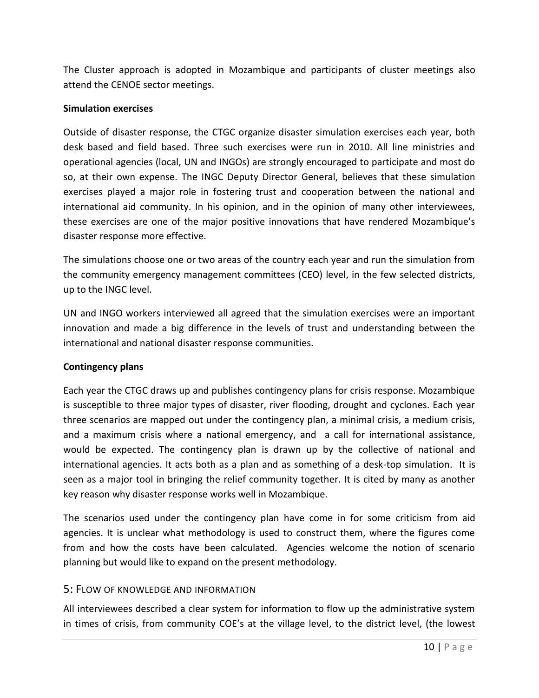The Cluster approach is adopted in Mozambique and participants of cluster meetings also attend the CENOE sector meetings.

#### **Simulation exercises**

Outside of disaster response, the CTGC organize disaster simulation exercises each year, both desk based and field based. Three such exercises were run in 2010. All line ministries and operational agencies (local, UN and INGOs) are strongly encouraged to participate and most do so, at their own expense. The INGC Deputy Director General, believes that these simulation exercises played a major role in fostering trust and cooperation between the national and international aid community. In his opinion, and in the opinion of many other interviewees, these exercises are one of the major positive innovations that have rendered Mozambique's disaster response more effective.

The simulations choose one or two areas of the country each year and run the simulation from the community emergency management committees (CEO) level, in the few selected districts, up to the INGC level.

UN and INGO workers interviewed all agreed that the simulation exercises were an important innovation and made a big difference in the levels of trust and understanding between the international and national disaster response communities.

#### **Contingency plans**

Each year the CTGC draws up and publishes contingency plans for crisis response. Mozambique is susceptible to three major types of disaster, river flooding, drought and cyclones. Each year three scenarios are mapped out under the contingency plan, a minimal crisis, a medium crisis, and a maximum crisis where a national emergency, and a call for international assistance, would be expected. The contingency plan is drawn up by the collective of national and international agencies. It acts both as a plan and as something of a desk-top simulation. It is seen as a major tool in bringing the relief community together. It is cited by many as another key reason why disaster response works well in Mozambique.

The scenarios used under the contingency plan have come in for some criticism from aid agencies. It is unclear what methodology is used to construct them, where the figures come from and how the costs have been calculated. Agencies welcome the notion of scenario planning but would like to expand on the present methodology.

#### 5: FLOW OF KNOWLEDGE AND INFORMATION

All interviewees described a clear system for information to flow up the administrative system in times of crisis, from community COE's at the village level, to the district level, (the lowest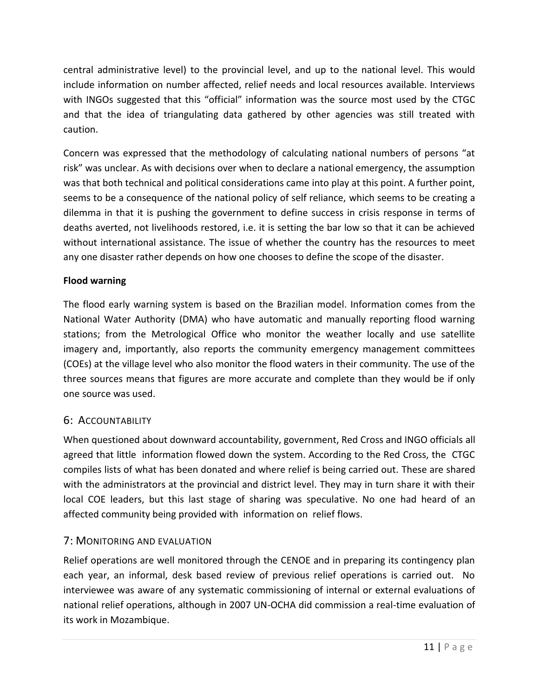central administrative level) to the provincial level, and up to the national level. This would include information on number affected, relief needs and local resources available. Interviews with INGOs suggested that this "official" information was the source most used by the CTGC and that the idea of triangulating data gathered by other agencies was still treated with caution.

Concern was expressed that the methodology of calculating national numbers of persons "at risk" was unclear. As with decisions over when to declare a national emergency, the assumption was that both technical and political considerations came into play at this point. A further point, seems to be a consequence of the national policy of self reliance, which seems to be creating a dilemma in that it is pushing the government to define success in crisis response in terms of deaths averted, not livelihoods restored, i.e. it is setting the bar low so that it can be achieved without international assistance. The issue of whether the country has the resources to meet any one disaster rather depends on how one chooses to define the scope of the disaster.

#### **Flood warning**

The flood early warning system is based on the Brazilian model. Information comes from the National Water Authority (DMA) who have automatic and manually reporting flood warning stations; from the Metrological Office who monitor the weather locally and use satellite imagery and, importantly, also reports the community emergency management committees (COEs) at the village level who also monitor the flood waters in their community. The use of the three sources means that figures are more accurate and complete than they would be if only one source was used.

#### 6: ACCOUNTABILITY

When questioned about downward accountability, government, Red Cross and INGO officials all agreed that little information flowed down the system. According to the Red Cross, the CTGC compiles lists of what has been donated and where relief is being carried out. These are shared with the administrators at the provincial and district level. They may in turn share it with their local COE leaders, but this last stage of sharing was speculative. No one had heard of an affected community being provided with information on relief flows.

#### 7: MONITORING AND EVALUATION

Relief operations are well monitored through the CENOE and in preparing its contingency plan each year, an informal, desk based review of previous relief operations is carried out. No interviewee was aware of any systematic commissioning of internal or external evaluations of national relief operations, although in 2007 UN-OCHA did commission a real-time evaluation of its work in Mozambique.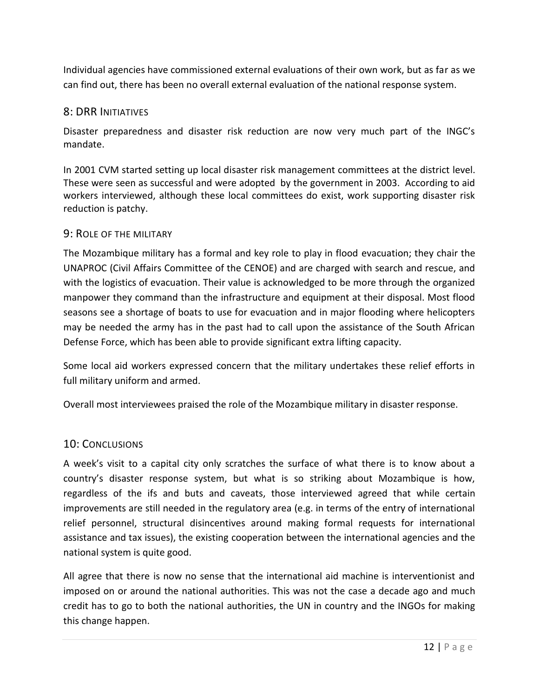Individual agencies have commissioned external evaluations of their own work, but as far as we can find out, there has been no overall external evaluation of the national response system.

#### 8: DRR INITIATIVES

Disaster preparedness and disaster risk reduction are now very much part of the INGC's mandate.

In 2001 CVM started setting up local disaster risk management committees at the district level. These were seen as successful and were adopted by the government in 2003. According to aid workers interviewed, although these local committees do exist, work supporting disaster risk reduction is patchy.

#### 9: ROLE OF THE MILITARY

The Mozambique military has a formal and key role to play in flood evacuation; they chair the UNAPROC (Civil Affairs Committee of the CENOE) and are charged with search and rescue, and with the logistics of evacuation. Their value is acknowledged to be more through the organized manpower they command than the infrastructure and equipment at their disposal. Most flood seasons see a shortage of boats to use for evacuation and in major flooding where helicopters may be needed the army has in the past had to call upon the assistance of the South African Defense Force, which has been able to provide significant extra lifting capacity.

Some local aid workers expressed concern that the military undertakes these relief efforts in full military uniform and armed.

Overall most interviewees praised the role of the Mozambique military in disaster response.

#### 10: CONCLUSIONS

A week's visit to a capital city only scratches the surface of what there is to know about a country's disaster response system, but what is so striking about Mozambique is how, regardless of the ifs and buts and caveats, those interviewed agreed that while certain improvements are still needed in the regulatory area (e.g. in terms of the entry of international relief personnel, structural disincentives around making formal requests for international assistance and tax issues), the existing cooperation between the international agencies and the national system is quite good.

All agree that there is now no sense that the international aid machine is interventionist and imposed on or around the national authorities. This was not the case a decade ago and much credit has to go to both the national authorities, the UN in country and the INGOs for making this change happen.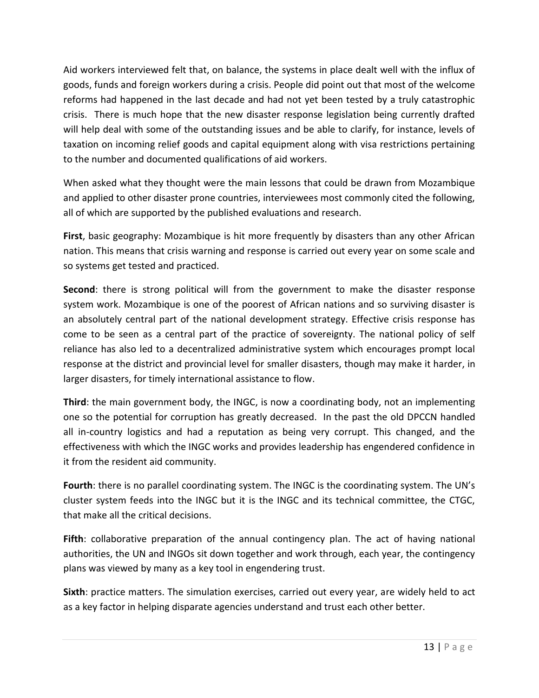Aid workers interviewed felt that, on balance, the systems in place dealt well with the influx of goods, funds and foreign workers during a crisis. People did point out that most of the welcome reforms had happened in the last decade and had not yet been tested by a truly catastrophic crisis. There is much hope that the new disaster response legislation being currently drafted will help deal with some of the outstanding issues and be able to clarify, for instance, levels of taxation on incoming relief goods and capital equipment along with visa restrictions pertaining to the number and documented qualifications of aid workers.

When asked what they thought were the main lessons that could be drawn from Mozambique and applied to other disaster prone countries, interviewees most commonly cited the following, all of which are supported by the published evaluations and research.

**First**, basic geography: Mozambique is hit more frequently by disasters than any other African nation. This means that crisis warning and response is carried out every year on some scale and so systems get tested and practiced.

**Second**: there is strong political will from the government to make the disaster response system work. Mozambique is one of the poorest of African nations and so surviving disaster is an absolutely central part of the national development strategy. Effective crisis response has come to be seen as a central part of the practice of sovereignty. The national policy of self reliance has also led to a decentralized administrative system which encourages prompt local response at the district and provincial level for smaller disasters, though may make it harder, in larger disasters, for timely international assistance to flow.

**Third**: the main government body, the INGC, is now a coordinating body, not an implementing one so the potential for corruption has greatly decreased. In the past the old DPCCN handled all in-country logistics and had a reputation as being very corrupt. This changed, and the effectiveness with which the INGC works and provides leadership has engendered confidence in it from the resident aid community.

**Fourth**: there is no parallel coordinating system. The INGC is the coordinating system. The UN's cluster system feeds into the INGC but it is the INGC and its technical committee, the CTGC, that make all the critical decisions.

**Fifth**: collaborative preparation of the annual contingency plan. The act of having national authorities, the UN and INGOs sit down together and work through, each year, the contingency plans was viewed by many as a key tool in engendering trust.

**Sixth**: practice matters. The simulation exercises, carried out every year, are widely held to act as a key factor in helping disparate agencies understand and trust each other better.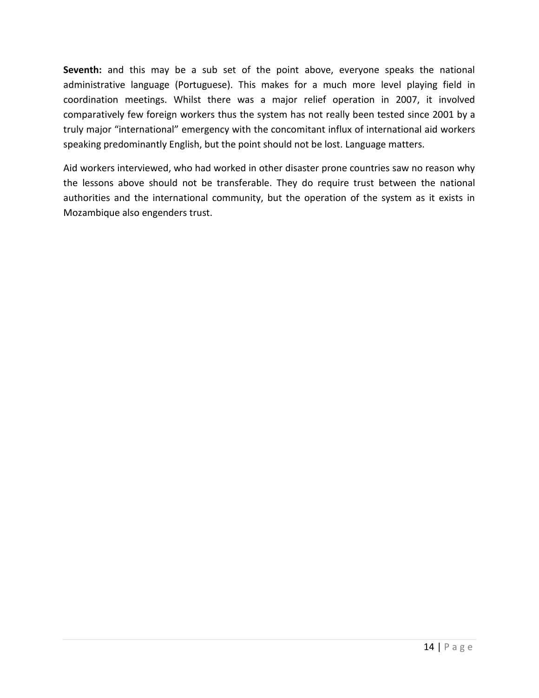**Seventh:** and this may be a sub set of the point above, everyone speaks the national administrative language (Portuguese). This makes for a much more level playing field in coordination meetings. Whilst there was a major relief operation in 2007, it involved comparatively few foreign workers thus the system has not really been tested since 2001 by a truly major "international" emergency with the concomitant influx of international aid workers speaking predominantly English, but the point should not be lost. Language matters.

<span id="page-13-0"></span>Aid workers interviewed, who had worked in other disaster prone countries saw no reason why the lessons above should not be transferable. They do require trust between the national authorities and the international community, but the operation of the system as it exists in Mozambique also engenders trust.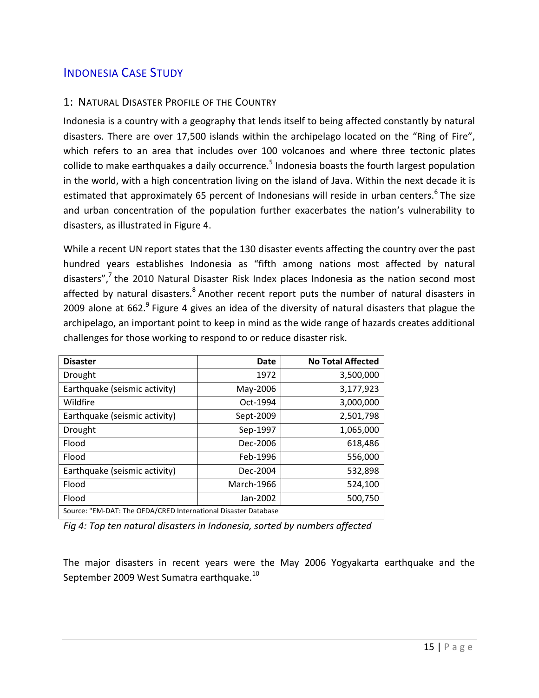# <span id="page-14-0"></span>INDONESIA CASE STUDY

#### 1: NATURAL DISASTER PROFILE OF THE COUNTRY

Indonesia is a country with a geography that lends itself to being affected constantly by natural disasters. There are over 17,500 islands within the archipelago located on the "Ring of Fire", which refers to an area that includes over 100 volcanoes and where three tectonic plates collide to make earthquakes a daily occurrence.<sup>5</sup> Indonesia boasts the fourth largest population in the world, with a high concentration living on the island of Java. Within the next decade it is estimated that approximately 65 percent of Indonesians will reside in urban centers.<sup>6</sup> The size and urban concentration of the population further exacerbates the nation's vulnerability to disasters, as illustrated in Figure 4.

While a recent UN report states that the 130 disaster events affecting the country over the past hundred years establishes Indonesia as "fifth among nations most affected by natural disasters",<sup>7</sup> the 2010 Natural Disaster Risk Index places Indonesia as the nation second most affected by natural disasters.<sup>8</sup> Another recent report puts the number of natural disasters in 2009 alone at 662. $^9$  Figure 4 gives an idea of the diversity of natural disasters that plague the archipelago, an important point to keep in mind as the wide range of hazards creates additional challenges for those working to respond to or reduce disaster risk.

| <b>Disaster</b>                                                | Date       | <b>No Total Affected</b> |
|----------------------------------------------------------------|------------|--------------------------|
| Drought                                                        | 1972       | 3,500,000                |
| Earthquake (seismic activity)                                  | May-2006   | 3,177,923                |
| Wildfire                                                       | Oct-1994   | 3,000,000                |
| Earthquake (seismic activity)                                  | Sept-2009  | 2,501,798                |
| Drought                                                        | Sep-1997   | 1,065,000                |
| Flood                                                          | Dec-2006   | 618,486                  |
| Flood                                                          | Feb-1996   | 556,000                  |
| Earthquake (seismic activity)                                  | Dec-2004   | 532,898                  |
| Flood                                                          | March-1966 | 524,100                  |
| Flood                                                          | Jan-2002   | 500,750                  |
| Source: "EM-DAT: The OFDA/CRED International Disaster Database |            |                          |

*Fig 4: Top ten natural disasters in Indonesia, sorted by numbers affected*

The major disasters in recent years were the May 2006 Yogyakarta earthquake and the September 2009 West Sumatra earthquake.<sup>10</sup>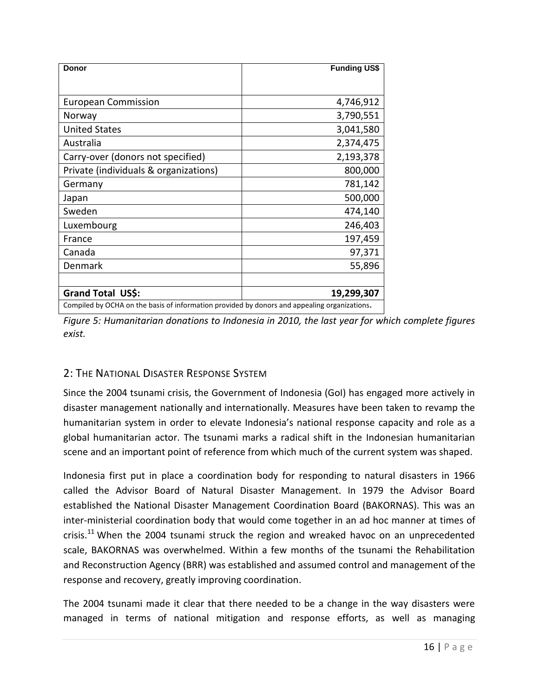| <b>Donor</b>                                                                                 | <b>Funding US\$</b> |
|----------------------------------------------------------------------------------------------|---------------------|
|                                                                                              |                     |
| <b>European Commission</b>                                                                   | 4,746,912           |
| Norway                                                                                       | 3,790,551           |
| <b>United States</b>                                                                         | 3,041,580           |
| Australia                                                                                    | 2,374,475           |
| Carry-over (donors not specified)                                                            | 2,193,378           |
| Private (individuals & organizations)                                                        | 800,000             |
| Germany                                                                                      | 781,142             |
| Japan                                                                                        | 500,000             |
| Sweden                                                                                       | 474,140             |
| Luxembourg                                                                                   | 246,403             |
| France                                                                                       | 197,459             |
| Canada                                                                                       | 97,371              |
| Denmark                                                                                      | 55,896              |
| Grand Total US\$:                                                                            | 19,299,307          |
| Compiled by OCHA on the basis of information provided by donors and appealing organizations. |                     |

*Figure 5: Humanitarian donations to Indonesia in 2010, the last year for which complete figures exist.*

## 2: THE NATIONAL DISASTER RESPONSE SYSTEM

Since the 2004 tsunami crisis, the Government of Indonesia (GoI) has engaged more actively in disaster management nationally and internationally. Measures have been taken to revamp the humanitarian system in order to elevate Indonesia's national response capacity and role as a global humanitarian actor. The tsunami marks a radical shift in the Indonesian humanitarian scene and an important point of reference from which much of the current system was shaped.

Indonesia first put in place a coordination body for responding to natural disasters in 1966 called the Advisor Board of Natural Disaster Management. In 1979 the Advisor Board established the National Disaster Management Coordination Board (BAKORNAS). This was an inter-ministerial coordination body that would come together in an ad hoc manner at times of crisis. $^{11}$  When the 2004 tsunami struck the region and wreaked havoc on an unprecedented scale, BAKORNAS was overwhelmed. Within a few months of the tsunami the Rehabilitation and Reconstruction Agency (BRR) was established and assumed control and management of the response and recovery, greatly improving coordination.

The 2004 tsunami made it clear that there needed to be a change in the way disasters were managed in terms of national mitigation and response efforts, as well as managing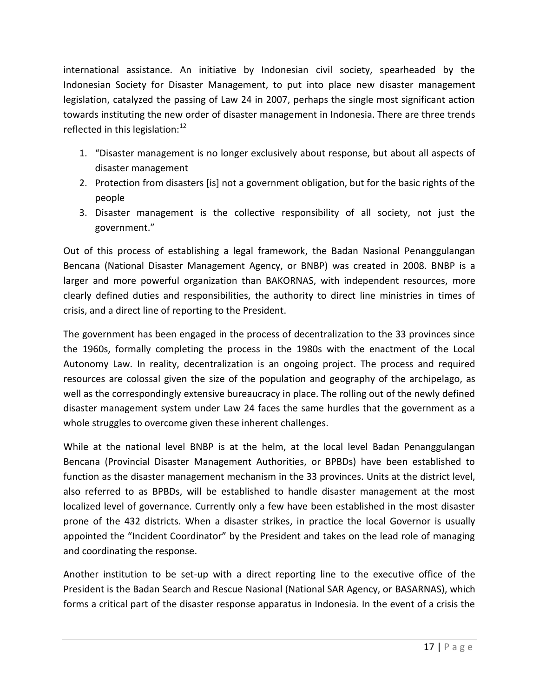international assistance. An initiative by Indonesian civil society, spearheaded by the Indonesian Society for Disaster Management, to put into place new disaster management legislation, catalyzed the passing of Law 24 in 2007, perhaps the single most significant action towards instituting the new order of disaster management in Indonesia. There are three trends reflected in this legislation: $12$ 

- 1. "Disaster management is no longer exclusively about response, but about all aspects of disaster management
- 2. Protection from disasters [is] not a government obligation, but for the basic rights of the people
- 3. Disaster management is the collective responsibility of all society, not just the government."

Out of this process of establishing a legal framework, the Badan Nasional Penanggulangan Bencana (National Disaster Management Agency, or BNBP) was created in 2008. BNBP is a larger and more powerful organization than BAKORNAS, with independent resources, more clearly defined duties and responsibilities, the authority to direct line ministries in times of crisis, and a direct line of reporting to the President.

The government has been engaged in the process of decentralization to the 33 provinces since the 1960s, formally completing the process in the 1980s with the enactment of the Local Autonomy Law. In reality, decentralization is an ongoing project. The process and required resources are colossal given the size of the population and geography of the archipelago, as well as the correspondingly extensive bureaucracy in place. The rolling out of the newly defined disaster management system under Law 24 faces the same hurdles that the government as a whole struggles to overcome given these inherent challenges.

While at the national level BNBP is at the helm, at the local level Badan Penanggulangan Bencana (Provincial Disaster Management Authorities, or BPBDs) have been established to function as the disaster management mechanism in the 33 provinces. Units at the district level, also referred to as BPBDs, will be established to handle disaster management at the most localized level of governance. Currently only a few have been established in the most disaster prone of the 432 districts. When a disaster strikes, in practice the local Governor is usually appointed the "Incident Coordinator" by the President and takes on the lead role of managing and coordinating the response.

Another institution to be set-up with a direct reporting line to the executive office of the President is the Badan Search and Rescue Nasional (National SAR Agency, or BASARNAS), which forms a critical part of the disaster response apparatus in Indonesia. In the event of a crisis the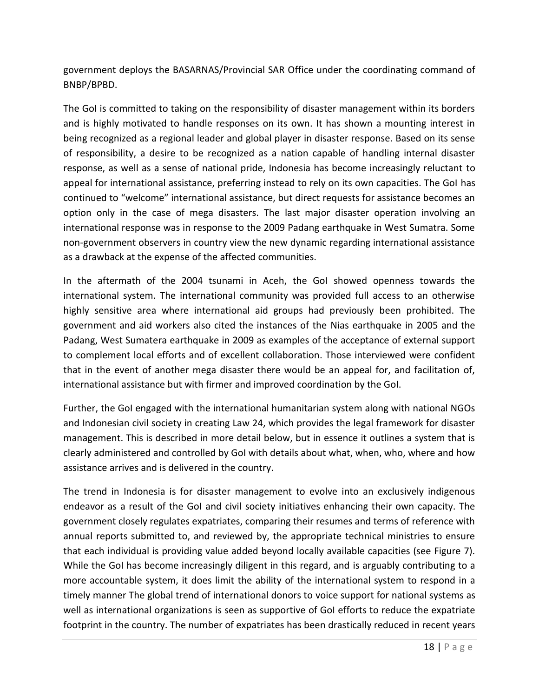government deploys the BASARNAS/Provincial SAR Office under the coordinating command of BNBP/BPBD.

The GoI is committed to taking on the responsibility of disaster management within its borders and is highly motivated to handle responses on its own. It has shown a mounting interest in being recognized as a regional leader and global player in disaster response. Based on its sense of responsibility, a desire to be recognized as a nation capable of handling internal disaster response, as well as a sense of national pride, Indonesia has become increasingly reluctant to appeal for international assistance, preferring instead to rely on its own capacities. The GoI has continued to "welcome" international assistance, but direct requests for assistance becomes an option only in the case of mega disasters. The last major disaster operation involving an international response was in response to the 2009 Padang earthquake in West Sumatra. Some non-government observers in country view the new dynamic regarding international assistance as a drawback at the expense of the affected communities.

In the aftermath of the 2004 tsunami in Aceh, the GoI showed openness towards the international system. The international community was provided full access to an otherwise highly sensitive area where international aid groups had previously been prohibited. The government and aid workers also cited the instances of the Nias earthquake in 2005 and the Padang, West Sumatera earthquake in 2009 as examples of the acceptance of external support to complement local efforts and of excellent collaboration. Those interviewed were confident that in the event of another mega disaster there would be an appeal for, and facilitation of, international assistance but with firmer and improved coordination by the GoI.

Further, the GoI engaged with the international humanitarian system along with national NGOs and Indonesian civil society in creating Law 24, which provides the legal framework for disaster management. This is described in more detail below, but in essence it outlines a system that is clearly administered and controlled by GoI with details about what, when, who, where and how assistance arrives and is delivered in the country.

The trend in Indonesia is for disaster management to evolve into an exclusively indigenous endeavor as a result of the GoI and civil society initiatives enhancing their own capacity. The government closely regulates expatriates, comparing their resumes and terms of reference with annual reports submitted to, and reviewed by, the appropriate technical ministries to ensure that each individual is providing value added beyond locally available capacities (see Figure 7). While the GoI has become increasingly diligent in this regard, and is arguably contributing to a more accountable system, it does limit the ability of the international system to respond in a timely manner The global trend of international donors to voice support for national systems as well as international organizations is seen as supportive of GoI efforts to reduce the expatriate footprint in the country. The number of expatriates has been drastically reduced in recent years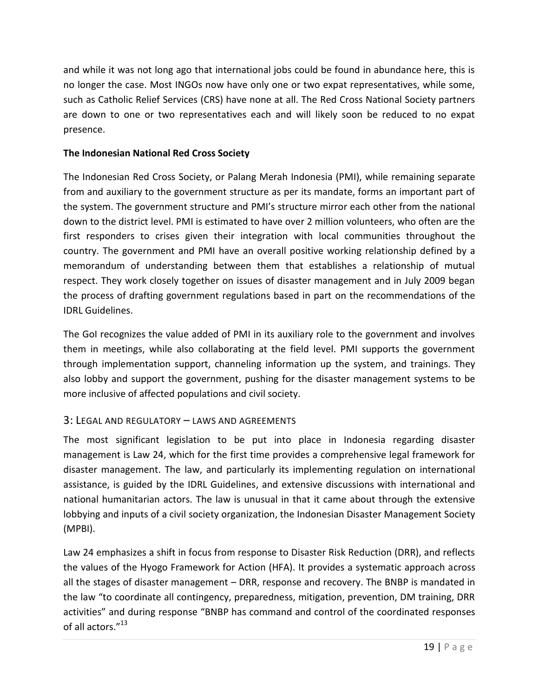and while it was not long ago that international jobs could be found in abundance here, this is no longer the case. Most INGOs now have only one or two expat representatives, while some, such as Catholic Relief Services (CRS) have none at all. The Red Cross National Society partners are down to one or two representatives each and will likely soon be reduced to no expat presence.

#### **The Indonesian National Red Cross Society**

The Indonesian Red Cross Society, or Palang Merah Indonesia (PMI), while remaining separate from and auxiliary to the government structure as per its mandate, forms an important part of the system. The government structure and PMI's structure mirror each other from the national down to the district level. PMI is estimated to have over 2 million volunteers, who often are the first responders to crises given their integration with local communities throughout the country. The government and PMI have an overall positive working relationship defined by a memorandum of understanding between them that establishes a relationship of mutual respect. They work closely together on issues of disaster management and in July 2009 began the process of drafting government regulations based in part on the recommendations of the IDRL Guidelines.

The GoI recognizes the value added of PMI in its auxiliary role to the government and involves them in meetings, while also collaborating at the field level. PMI supports the government through implementation support, channeling information up the system, and trainings. They also lobby and support the government, pushing for the disaster management systems to be more inclusive of affected populations and civil society.

#### 3: LEGAL AND REGULATORY – LAWS AND AGREEMENTS

The most significant legislation to be put into place in Indonesia regarding disaster management is Law 24, which for the first time provides a comprehensive legal framework for disaster management. The law, and particularly its implementing regulation on international assistance, is guided by the IDRL Guidelines, and extensive discussions with international and national humanitarian actors. The law is unusual in that it came about through the extensive lobbying and inputs of a civil society organization, the Indonesian Disaster Management Society (MPBI).

Law 24 emphasizes a shift in focus from response to Disaster Risk Reduction (DRR), and reflects the values of the Hyogo Framework for Action (HFA). It provides a systematic approach across all the stages of disaster management – DRR, response and recovery. The BNBP is mandated in the law "to coordinate all contingency, preparedness, mitigation, prevention, DM training, DRR activities" and during response "BNBP has command and control of the coordinated responses of all actors."<sup>13</sup>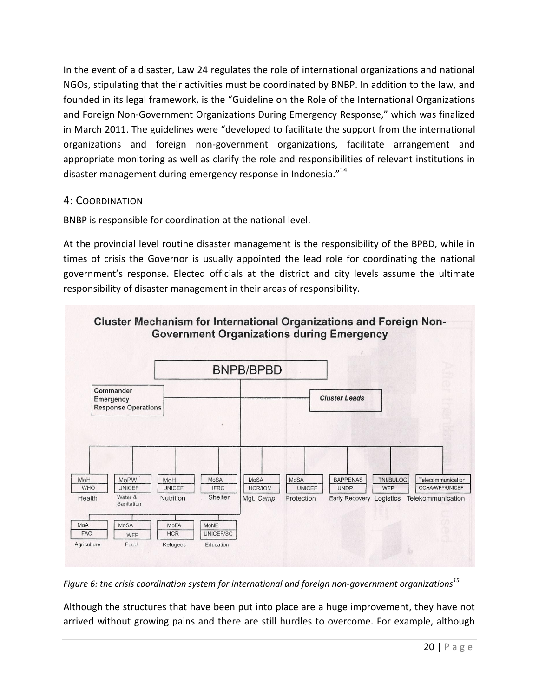In the event of a disaster, Law 24 regulates the role of international organizations and national NGOs, stipulating that their activities must be coordinated by BNBP. In addition to the law, and founded in its legal framework, is the "Guideline on the Role of the International Organizations and Foreign Non-Government Organizations During Emergency Response," which was finalized in March 2011. The guidelines were "developed to facilitate the support from the international organizations and foreign non-government organizations, facilitate arrangement and appropriate monitoring as well as clarify the role and responsibilities of relevant institutions in disaster management during emergency response in Indonesia."<sup>14</sup>

#### 4: COORDINATION

BNBP is responsible for coordination at the national level.

At the provincial level routine disaster management is the responsibility of the BPBD, while in times of crisis the Governor is usually appointed the lead role for coordinating the national government's response. Elected officials at the district and city levels assume the ultimate responsibility of disaster management in their areas of responsibility.



*Figure 6: the crisis coordination system for international and foreign non-government organizations<sup>15</sup>*

Although the structures that have been put into place are a huge improvement, they have not arrived without growing pains and there are still hurdles to overcome. For example, although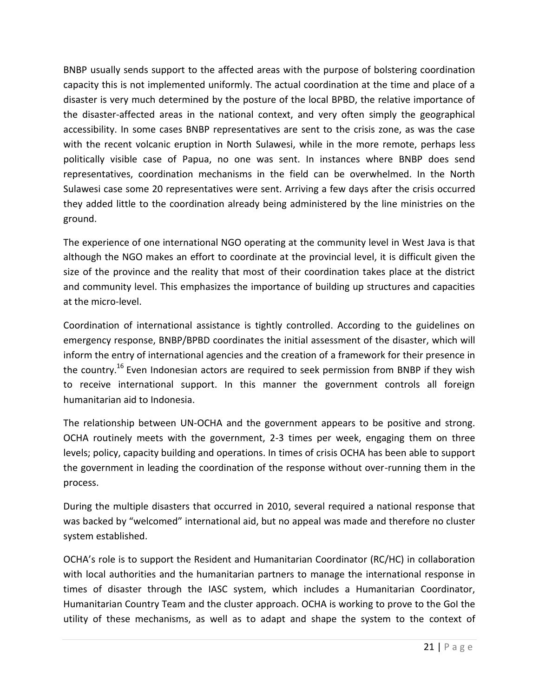BNBP usually sends support to the affected areas with the purpose of bolstering coordination capacity this is not implemented uniformly. The actual coordination at the time and place of a disaster is very much determined by the posture of the local BPBD, the relative importance of the disaster-affected areas in the national context, and very often simply the geographical accessibility. In some cases BNBP representatives are sent to the crisis zone, as was the case with the recent volcanic eruption in North Sulawesi, while in the more remote, perhaps less politically visible case of Papua, no one was sent. In instances where BNBP does send representatives, coordination mechanisms in the field can be overwhelmed. In the North Sulawesi case some 20 representatives were sent. Arriving a few days after the crisis occurred they added little to the coordination already being administered by the line ministries on the ground.

The experience of one international NGO operating at the community level in West Java is that although the NGO makes an effort to coordinate at the provincial level, it is difficult given the size of the province and the reality that most of their coordination takes place at the district and community level. This emphasizes the importance of building up structures and capacities at the micro-level.

Coordination of international assistance is tightly controlled. According to the guidelines on emergency response, BNBP/BPBD coordinates the initial assessment of the disaster, which will inform the entry of international agencies and the creation of a framework for their presence in the country.<sup>16</sup> Even Indonesian actors are required to seek permission from BNBP if they wish to receive international support. In this manner the government controls all foreign humanitarian aid to Indonesia.

The relationship between UN-OCHA and the government appears to be positive and strong. OCHA routinely meets with the government, 2-3 times per week, engaging them on three levels; policy, capacity building and operations. In times of crisis OCHA has been able to support the government in leading the coordination of the response without over-running them in the process.

During the multiple disasters that occurred in 2010, several required a national response that was backed by "welcomed" international aid, but no appeal was made and therefore no cluster system established.

OCHA's role is to support the Resident and Humanitarian Coordinator (RC/HC) in collaboration with local authorities and the humanitarian partners to manage the international response in times of disaster through the IASC system, which includes a Humanitarian Coordinator, Humanitarian Country Team and the cluster approach. OCHA is working to prove to the GoI the utility of these mechanisms, as well as to adapt and shape the system to the context of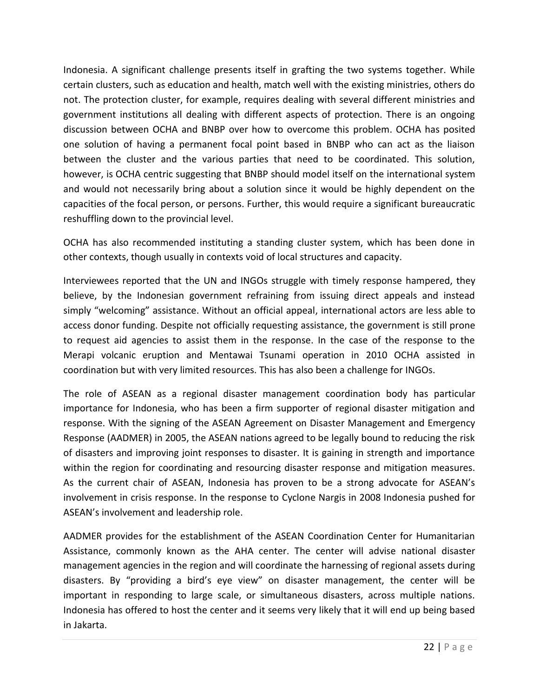Indonesia. A significant challenge presents itself in grafting the two systems together. While certain clusters, such as education and health, match well with the existing ministries, others do not. The protection cluster, for example, requires dealing with several different ministries and government institutions all dealing with different aspects of protection. There is an ongoing discussion between OCHA and BNBP over how to overcome this problem. OCHA has posited one solution of having a permanent focal point based in BNBP who can act as the liaison between the cluster and the various parties that need to be coordinated. This solution, however, is OCHA centric suggesting that BNBP should model itself on the international system and would not necessarily bring about a solution since it would be highly dependent on the capacities of the focal person, or persons. Further, this would require a significant bureaucratic reshuffling down to the provincial level.

OCHA has also recommended instituting a standing cluster system, which has been done in other contexts, though usually in contexts void of local structures and capacity.

Interviewees reported that the UN and INGOs struggle with timely response hampered, they believe, by the Indonesian government refraining from issuing direct appeals and instead simply "welcoming" assistance. Without an official appeal, international actors are less able to access donor funding. Despite not officially requesting assistance, the government is still prone to request aid agencies to assist them in the response. In the case of the response to the Merapi volcanic eruption and Mentawai Tsunami operation in 2010 OCHA assisted in coordination but with very limited resources. This has also been a challenge for INGOs.

The role of ASEAN as a regional disaster management coordination body has particular importance for Indonesia, who has been a firm supporter of regional disaster mitigation and response. With the signing of the ASEAN Agreement on Disaster Management and Emergency Response (AADMER) in 2005, the ASEAN nations agreed to be legally bound to reducing the risk of disasters and improving joint responses to disaster. It is gaining in strength and importance within the region for coordinating and resourcing disaster response and mitigation measures. As the current chair of ASEAN, Indonesia has proven to be a strong advocate for ASEAN's involvement in crisis response. In the response to Cyclone Nargis in 2008 Indonesia pushed for ASEAN's involvement and leadership role.

AADMER provides for the establishment of the ASEAN Coordination Center for Humanitarian Assistance, commonly known as the AHA center. The center will advise national disaster management agencies in the region and will coordinate the harnessing of regional assets during disasters. By "providing a bird's eye view" on disaster management, the center will be important in responding to large scale, or simultaneous disasters, across multiple nations. Indonesia has offered to host the center and it seems very likely that it will end up being based in Jakarta.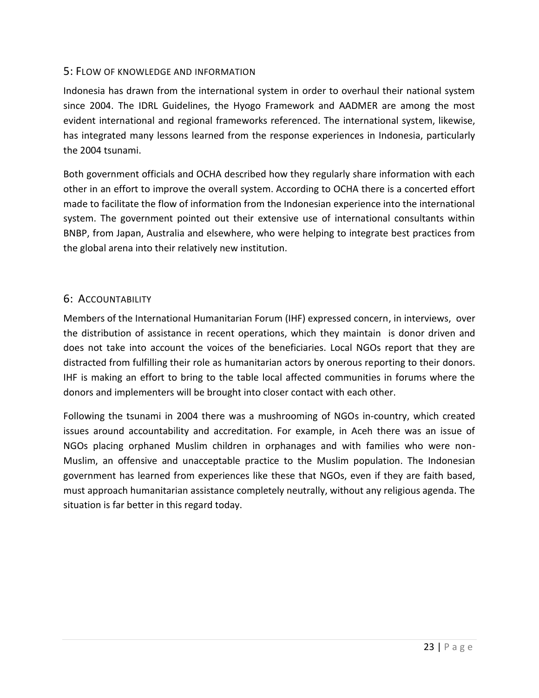#### 5: FLOW OF KNOWLEDGE AND INFORMATION

Indonesia has drawn from the international system in order to overhaul their national system since 2004. The IDRL Guidelines, the Hyogo Framework and AADMER are among the most evident international and regional frameworks referenced. The international system, likewise, has integrated many lessons learned from the response experiences in Indonesia, particularly the 2004 tsunami.

Both government officials and OCHA described how they regularly share information with each other in an effort to improve the overall system. According to OCHA there is a concerted effort made to facilitate the flow of information from the Indonesian experience into the international system. The government pointed out their extensive use of international consultants within BNBP, from Japan, Australia and elsewhere, who were helping to integrate best practices from the global arena into their relatively new institution.

#### 6: ACCOUNTABILITY

Members of the International Humanitarian Forum (IHF) expressed concern, in interviews, over the distribution of assistance in recent operations, which they maintain is donor driven and does not take into account the voices of the beneficiaries. Local NGOs report that they are distracted from fulfilling their role as humanitarian actors by onerous reporting to their donors. IHF is making an effort to bring to the table local affected communities in forums where the donors and implementers will be brought into closer contact with each other.

Following the tsunami in 2004 there was a mushrooming of NGOs in-country, which created issues around accountability and accreditation. For example, in Aceh there was an issue of NGOs placing orphaned Muslim children in orphanages and with families who were non-Muslim, an offensive and unacceptable practice to the Muslim population. The Indonesian government has learned from experiences like these that NGOs, even if they are faith based, must approach humanitarian assistance completely neutrally, without any religious agenda. The situation is far better in this regard today.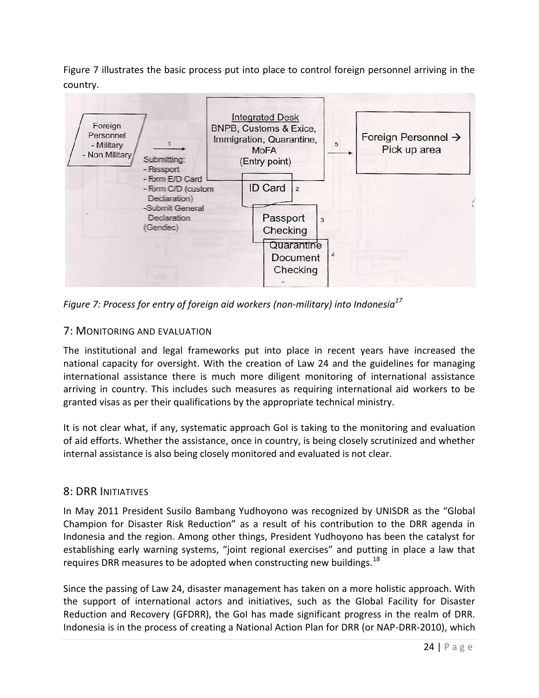Figure 7 illustrates the basic process put into place to control foreign personnel arriving in the country.



*Figure 7: Process for entry of foreign aid workers (non-military) into Indonesia<sup>17</sup>*

#### 7: MONITORING AND EVALUATION

The institutional and legal frameworks put into place in recent years have increased the national capacity for oversight. With the creation of Law 24 and the guidelines for managing international assistance there is much more diligent monitoring of international assistance arriving in country. This includes such measures as requiring international aid workers to be granted visas as per their qualifications by the appropriate technical ministry.

It is not clear what, if any, systematic approach GoI is taking to the monitoring and evaluation of aid efforts. Whether the assistance, once in country, is being closely scrutinized and whether internal assistance is also being closely monitored and evaluated is not clear.

#### 8: DRR INITIATIVES

In May 2011 President Susilo Bambang Yudhoyono was recognized by UNISDR as the "Global Champion for Disaster Risk Reduction" as a result of his contribution to the DRR agenda in Indonesia and the region. Among other things, President Yudhoyono has been the catalyst for establishing early warning systems, "joint regional exercises" and putting in place a law that requires DRR measures to be adopted when constructing new buildings.<sup>18</sup>

Since the passing of Law 24, disaster management has taken on a more holistic approach. With the support of international actors and initiatives, such as the Global Facility for Disaster Reduction and Recovery (GFDRR), the GoI has made significant progress in the realm of DRR. Indonesia is in the process of creating a National Action Plan for DRR (or NAP-DRR-2010), which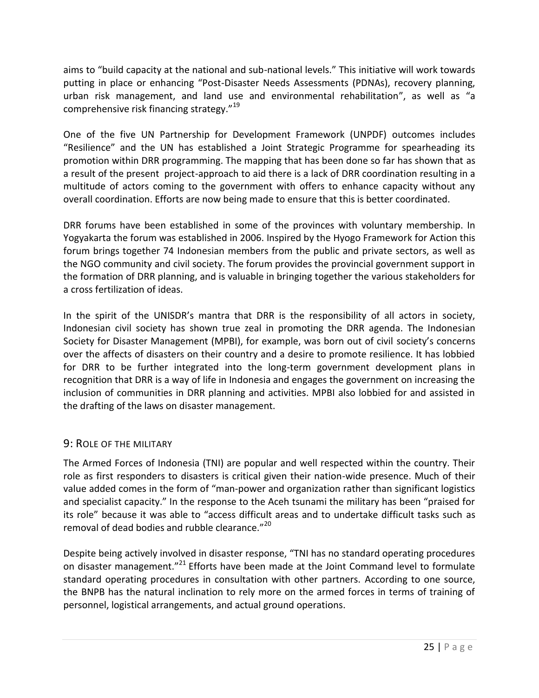aims to "build capacity at the national and sub-national levels." This initiative will work towards putting in place or enhancing "Post-Disaster Needs Assessments (PDNAs), recovery planning, urban risk management, and land use and environmental rehabilitation", as well as "a comprehensive risk financing strategy."<sup>19</sup>

One of the five UN Partnership for Development Framework (UNPDF) outcomes includes "Resilience" and the UN has established a Joint Strategic Programme for spearheading its promotion within DRR programming. The mapping that has been done so far has shown that as a result of the present project-approach to aid there is a lack of DRR coordination resulting in a multitude of actors coming to the government with offers to enhance capacity without any overall coordination. Efforts are now being made to ensure that this is better coordinated.

DRR forums have been established in some of the provinces with voluntary membership. In Yogyakarta the forum was established in 2006. Inspired by the Hyogo Framework for Action this forum brings together 74 Indonesian members from the public and private sectors, as well as the NGO community and civil society. The forum provides the provincial government support in the formation of DRR planning, and is valuable in bringing together the various stakeholders for a cross fertilization of ideas.

In the spirit of the UNISDR's mantra that DRR is the responsibility of all actors in society, Indonesian civil society has shown true zeal in promoting the DRR agenda. The Indonesian Society for Disaster Management (MPBI), for example, was born out of civil society's concerns over the affects of disasters on their country and a desire to promote resilience. It has lobbied for DRR to be further integrated into the long-term government development plans in recognition that DRR is a way of life in Indonesia and engages the government on increasing the inclusion of communities in DRR planning and activities. MPBI also lobbied for and assisted in the drafting of the laws on disaster management.

#### 9: ROLE OF THE MILITARY

The Armed Forces of Indonesia (TNI) are popular and well respected within the country. Their role as first responders to disasters is critical given their nation-wide presence. Much of their value added comes in the form of "man-power and organization rather than significant logistics and specialist capacity." In the response to the Aceh tsunami the military has been "praised for its role" because it was able to "access difficult areas and to undertake difficult tasks such as removal of dead bodies and rubble clearance."<sup>20</sup>

Despite being actively involved in disaster response, "TNI has no standard operating procedures on disaster management."<sup>21</sup> Efforts have been made at the Joint Command level to formulate standard operating procedures in consultation with other partners. According to one source, the BNPB has the natural inclination to rely more on the armed forces in terms of training of personnel, logistical arrangements, and actual ground operations.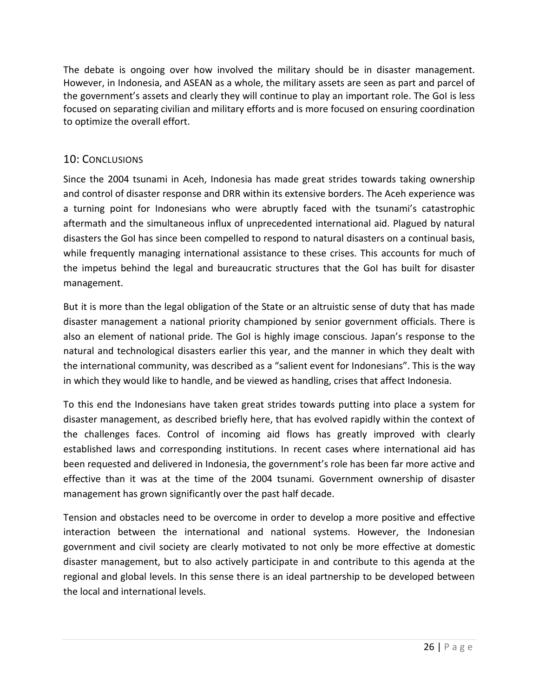The debate is ongoing over how involved the military should be in disaster management. However, in Indonesia, and ASEAN as a whole, the military assets are seen as part and parcel of the government's assets and clearly they will continue to play an important role. The GoI is less focused on separating civilian and military efforts and is more focused on ensuring coordination to optimize the overall effort.

#### 10: CONCLUSIONS

Since the 2004 tsunami in Aceh, Indonesia has made great strides towards taking ownership and control of disaster response and DRR within its extensive borders. The Aceh experience was a turning point for Indonesians who were abruptly faced with the tsunami's catastrophic aftermath and the simultaneous influx of unprecedented international aid. Plagued by natural disasters the GoI has since been compelled to respond to natural disasters on a continual basis, while frequently managing international assistance to these crises. This accounts for much of the impetus behind the legal and bureaucratic structures that the GoI has built for disaster management.

But it is more than the legal obligation of the State or an altruistic sense of duty that has made disaster management a national priority championed by senior government officials. There is also an element of national pride. The GoI is highly image conscious. Japan's response to the natural and technological disasters earlier this year, and the manner in which they dealt with the international community, was described as a "salient event for Indonesians". This is the way in which they would like to handle, and be viewed as handling, crises that affect Indonesia.

To this end the Indonesians have taken great strides towards putting into place a system for disaster management, as described briefly here, that has evolved rapidly within the context of the challenges faces. Control of incoming aid flows has greatly improved with clearly established laws and corresponding institutions. In recent cases where international aid has been requested and delivered in Indonesia, the government's role has been far more active and effective than it was at the time of the 2004 tsunami. Government ownership of disaster management has grown significantly over the past half decade.

Tension and obstacles need to be overcome in order to develop a more positive and effective interaction between the international and national systems. However, the Indonesian government and civil society are clearly motivated to not only be more effective at domestic disaster management, but to also actively participate in and contribute to this agenda at the regional and global levels. In this sense there is an ideal partnership to be developed between the local and international levels.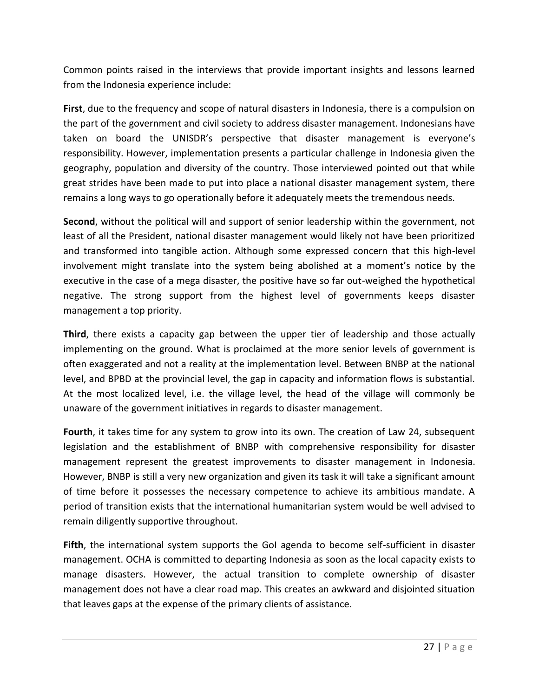Common points raised in the interviews that provide important insights and lessons learned from the Indonesia experience include:

**First**, due to the frequency and scope of natural disasters in Indonesia, there is a compulsion on the part of the government and civil society to address disaster management. Indonesians have taken on board the UNISDR's perspective that disaster management is everyone's responsibility. However, implementation presents a particular challenge in Indonesia given the geography, population and diversity of the country. Those interviewed pointed out that while great strides have been made to put into place a national disaster management system, there remains a long ways to go operationally before it adequately meets the tremendous needs.

**Second**, without the political will and support of senior leadership within the government, not least of all the President, national disaster management would likely not have been prioritized and transformed into tangible action. Although some expressed concern that this high-level involvement might translate into the system being abolished at a moment's notice by the executive in the case of a mega disaster, the positive have so far out-weighed the hypothetical negative. The strong support from the highest level of governments keeps disaster management a top priority.

**Third**, there exists a capacity gap between the upper tier of leadership and those actually implementing on the ground. What is proclaimed at the more senior levels of government is often exaggerated and not a reality at the implementation level. Between BNBP at the national level, and BPBD at the provincial level, the gap in capacity and information flows is substantial. At the most localized level, i.e. the village level, the head of the village will commonly be unaware of the government initiatives in regards to disaster management.

**Fourth**, it takes time for any system to grow into its own. The creation of Law 24, subsequent legislation and the establishment of BNBP with comprehensive responsibility for disaster management represent the greatest improvements to disaster management in Indonesia. However, BNBP is still a very new organization and given its task it will take a significant amount of time before it possesses the necessary competence to achieve its ambitious mandate. A period of transition exists that the international humanitarian system would be well advised to remain diligently supportive throughout.

**Fifth**, the international system supports the GoI agenda to become self-sufficient in disaster management. OCHA is committed to departing Indonesia as soon as the local capacity exists to manage disasters. However, the actual transition to complete ownership of disaster management does not have a clear road map. This creates an awkward and disjointed situation that leaves gaps at the expense of the primary clients of assistance.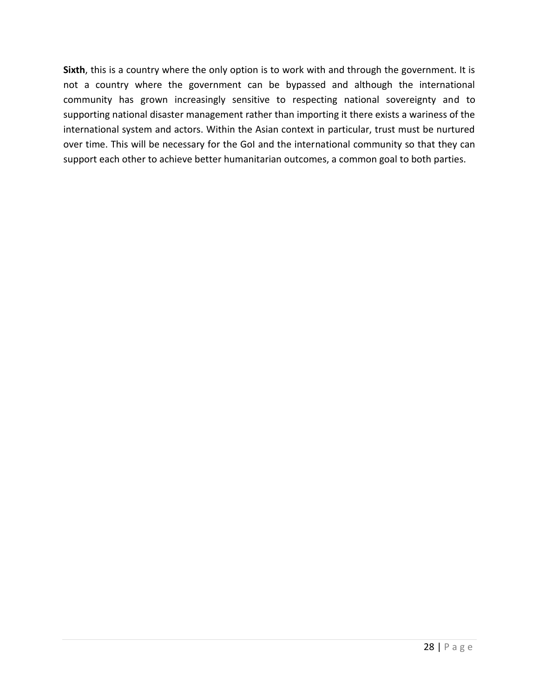**Sixth**, this is a country where the only option is to work with and through the government. It is not a country where the government can be bypassed and although the international community has grown increasingly sensitive to respecting national sovereignty and to supporting national disaster management rather than importing it there exists a wariness of the international system and actors. Within the Asian context in particular, trust must be nurtured over time. This will be necessary for the GoI and the international community so that they can support each other to achieve better humanitarian outcomes, a common goal to both parties.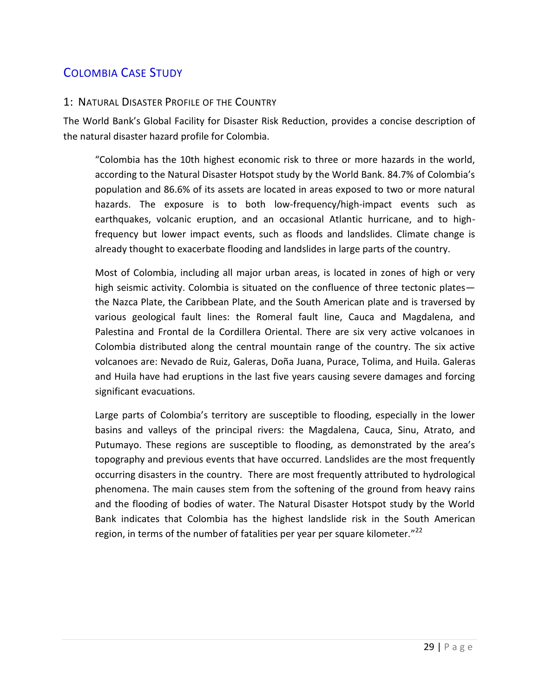# COLOMBIA CASE STUDY

#### 1: NATURAL DISASTER PROFILE OF THE COUNTRY

The World Bank's Global Facility for Disaster Risk Reduction, provides a concise description of the natural disaster hazard profile for Colombia.

"Colombia has the 10th highest economic risk to three or more hazards in the world, according to the Natural Disaster Hotspot study by the World Bank. 84.7% of Colombia's population and 86.6% of its assets are located in areas exposed to two or more natural hazards. The exposure is to both low-frequency/high-impact events such as earthquakes, volcanic eruption, and an occasional Atlantic hurricane, and to highfrequency but lower impact events, such as floods and landslides. Climate change is already thought to exacerbate flooding and landslides in large parts of the country.

Most of Colombia, including all major urban areas, is located in zones of high or very high seismic activity. Colombia is situated on the confluence of three tectonic plates the Nazca Plate, the Caribbean Plate, and the South American plate and is traversed by various geological fault lines: the Romeral fault line, Cauca and Magdalena, and Palestina and Frontal de la Cordillera Oriental. There are six very active volcanoes in Colombia distributed along the central mountain range of the country. The six active volcanoes are: Nevado de Ruiz, Galeras, Doña Juana, Purace, Tolima, and Huila. Galeras and Huila have had eruptions in the last five years causing severe damages and forcing significant evacuations.

Large parts of Colombia's territory are susceptible to flooding, especially in the lower basins and valleys of the principal rivers: the Magdalena, Cauca, Sinu, Atrato, and Putumayo. These regions are susceptible to flooding, as demonstrated by the area's topography and previous events that have occurred. Landslides are the most frequently occurring disasters in the country. There are most frequently attributed to hydrological phenomena. The main causes stem from the softening of the ground from heavy rains and the flooding of bodies of water. The Natural Disaster Hotspot study by the World Bank indicates that Colombia has the highest landslide risk in the South American region, in terms of the number of fatalities per year per square kilometer."<sup>22</sup>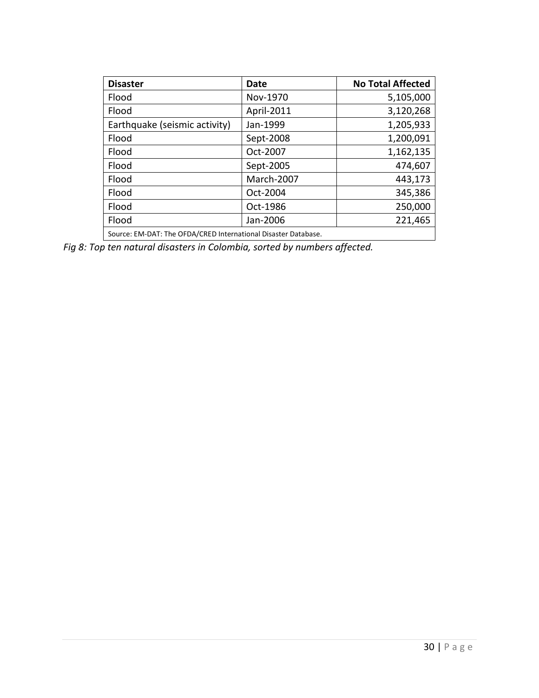| <b>Disaster</b>                                                | <b>Date</b> | <b>No Total Affected</b> |
|----------------------------------------------------------------|-------------|--------------------------|
| Flood                                                          | Nov-1970    | 5,105,000                |
| Flood                                                          | April-2011  | 3,120,268                |
| Earthquake (seismic activity)                                  | Jan-1999    | 1,205,933                |
| Flood                                                          | Sept-2008   | 1,200,091                |
| Flood                                                          | Oct-2007    | 1,162,135                |
| Flood                                                          | Sept-2005   | 474,607                  |
| Flood                                                          | March-2007  | 443,173                  |
| Flood                                                          | Oct-2004    | 345,386                  |
| Flood                                                          | Oct-1986    | 250,000                  |
| Flood                                                          | Jan-2006    | 221,465                  |
| Source: EM-DAT: The OFDA/CRED International Disaster Database. |             |                          |

*Fig 8: Top ten natural disasters in Colombia, sorted by numbers affected.*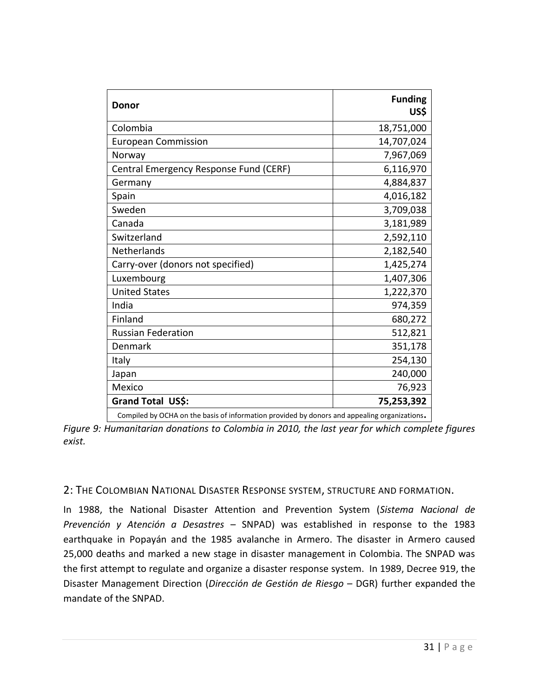| US\$                                                                                         |
|----------------------------------------------------------------------------------------------|
| 18,751,000                                                                                   |
| 14,707,024                                                                                   |
| 7,967,069                                                                                    |
| 6,116,970                                                                                    |
| 4,884,837                                                                                    |
| 4,016,182                                                                                    |
| 3,709,038                                                                                    |
| 3,181,989                                                                                    |
| 2,592,110                                                                                    |
| 2,182,540                                                                                    |
| 1,425,274                                                                                    |
| 1,407,306                                                                                    |
| 1,222,370                                                                                    |
| 974,359                                                                                      |
| 680,272                                                                                      |
| 512,821                                                                                      |
| 351,178                                                                                      |
| 254,130                                                                                      |
| 240,000                                                                                      |
| 76,923                                                                                       |
| 75,253,392                                                                                   |
| Compiled by OCHA on the basis of information provided by donors and appealing organizations. |

*Figure 9: Humanitarian donations to Colombia in 2010, the last year for which complete figures exist.*

#### 2: THE COLOMBIAN NATIONAL DISASTER RESPONSE SYSTEM, STRUCTURE AND FORMATION.

In 1988, the National Disaster Attention and Prevention System (*Sistema Nacional de Prevención y Atención a Desastres* – SNPAD) was established in response to the 1983 earthquake in Popayán and the 1985 avalanche in Armero. The disaster in Armero caused 25,000 deaths and marked a new stage in disaster management in Colombia. The SNPAD was the first attempt to regulate and organize a disaster response system. In 1989, Decree 919, the Disaster Management Direction (*Dirección de Gestión de Riesgo* – DGR) further expanded the mandate of the SNPAD.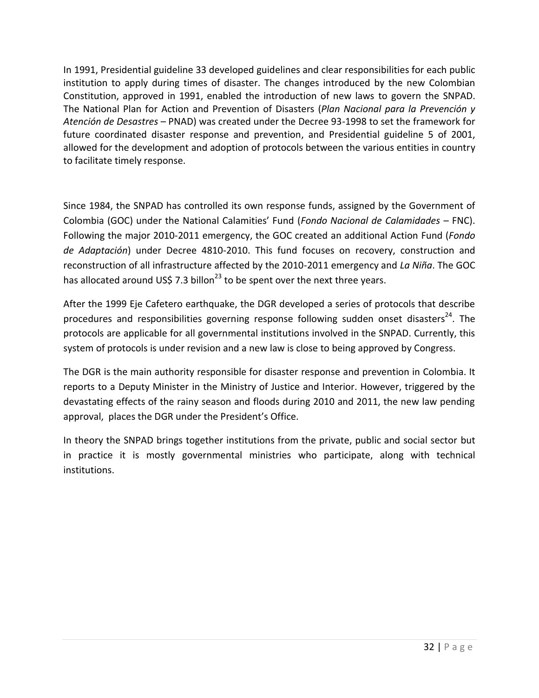In 1991, Presidential guideline 33 developed guidelines and clear responsibilities for each public institution to apply during times of disaster. The changes introduced by the new Colombian Constitution, approved in 1991, enabled the introduction of new laws to govern the SNPAD. The National Plan for Action and Prevention of Disasters (*Plan Nacional para la Prevención y Atención de Desastres* – PNAD) was created under the Decree 93-1998 to set the framework for future coordinated disaster response and prevention, and Presidential guideline 5 of 2001, allowed for the development and adoption of protocols between the various entities in country to facilitate timely response.

Since 1984, the SNPAD has controlled its own response funds, assigned by the Government of Colombia (GOC) under the National Calamities' Fund (*Fondo Nacional de Calamidades* – FNC). Following the major 2010-2011 emergency, the GOC created an additional Action Fund (*Fondo de Adaptación*) under Decree 4810-2010. This fund focuses on recovery, construction and reconstruction of all infrastructure affected by the 2010-2011 emergency and *La Niña*. The GOC has allocated around US\$ 7.3 billon<sup>23</sup> to be spent over the next three years.

After the 1999 Eje Cafetero earthquake, the DGR developed a series of protocols that describe procedures and responsibilities governing response following sudden onset disasters<sup>24</sup>. The protocols are applicable for all governmental institutions involved in the SNPAD. Currently, this system of protocols is under revision and a new law is close to being approved by Congress.

The DGR is the main authority responsible for disaster response and prevention in Colombia. It reports to a Deputy Minister in the Ministry of Justice and Interior. However, triggered by the devastating effects of the rainy season and floods during 2010 and 2011, the new law pending approval, places the DGR under the President's Office.

In theory the SNPAD brings together institutions from the private, public and social sector but in practice it is mostly governmental ministries who participate, along with technical institutions.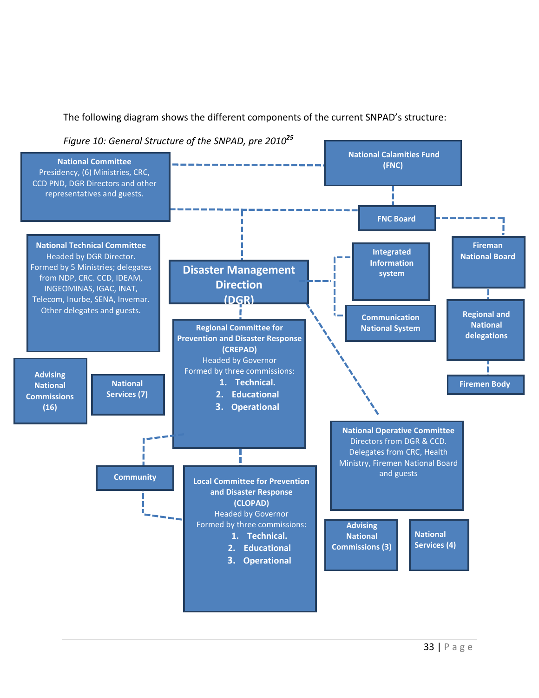

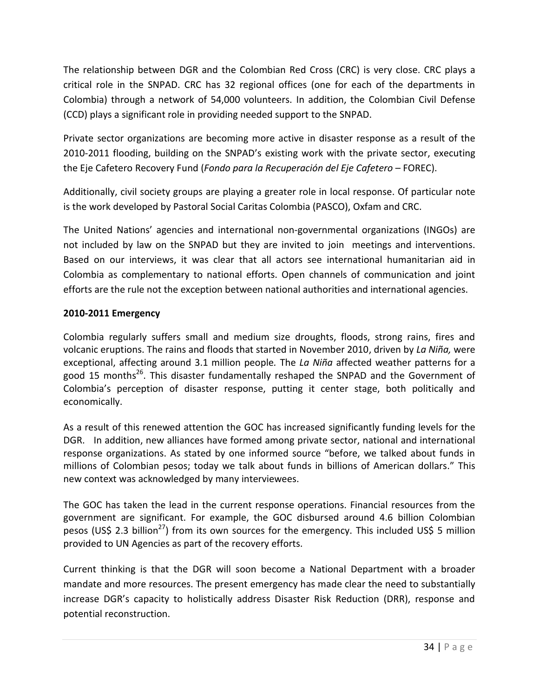The relationship between DGR and the Colombian Red Cross (CRC) is very close. CRC plays a critical role in the SNPAD. CRC has 32 regional offices (one for each of the departments in Colombia) through a network of 54,000 volunteers. In addition, the Colombian Civil Defense (CCD) plays a significant role in providing needed support to the SNPAD.

Private sector organizations are becoming more active in disaster response as a result of the 2010-2011 flooding, building on the SNPAD's existing work with the private sector, executing the Eje Cafetero Recovery Fund (*Fondo para la Recuperación del Eje Cafetero* – FOREC).

Additionally, civil society groups are playing a greater role in local response. Of particular note is the work developed by Pastoral Social Caritas Colombia (PASCO), Oxfam and CRC.

The United Nations' agencies and international non-governmental organizations (INGOs) are not included by law on the SNPAD but they are invited to join meetings and interventions. Based on our interviews, it was clear that all actors see international humanitarian aid in Colombia as complementary to national efforts. Open channels of communication and joint efforts are the rule not the exception between national authorities and international agencies.

#### **2010-2011 Emergency**

Colombia regularly suffers small and medium size droughts, floods, strong rains, fires and volcanic eruptions. The rains and floods that started in November 2010, driven by *La Niña,* were exceptional, affecting around 3.1 million people*.* The *La Niña* affected weather patterns for a good 15 months<sup>26</sup>. This disaster fundamentally reshaped the SNPAD and the Government of Colombia's perception of disaster response, putting it center stage, both politically and economically.

As a result of this renewed attention the GOC has increased significantly funding levels for the DGR. In addition, new alliances have formed among private sector, national and international response organizations. As stated by one informed source "before, we talked about funds in millions of Colombian pesos; today we talk about funds in billions of American dollars." This new context was acknowledged by many interviewees.

The GOC has taken the lead in the current response operations. Financial resources from the government are significant. For example, the GOC disbursed around 4.6 billion Colombian pesos (US\$ 2.3 billion<sup>27</sup>) from its own sources for the emergency. This included US\$ 5 million provided to UN Agencies as part of the recovery efforts.

Current thinking is that the DGR will soon become a National Department with a broader mandate and more resources. The present emergency has made clear the need to substantially increase DGR's capacity to holistically address Disaster Risk Reduction (DRR), response and potential reconstruction.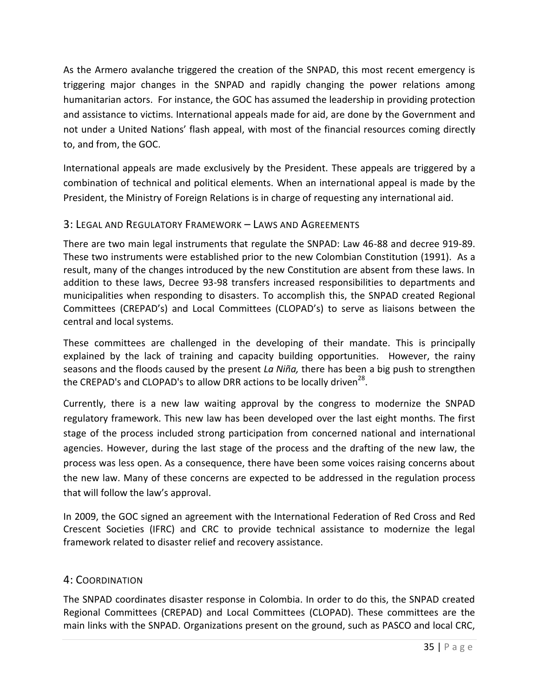As the Armero avalanche triggered the creation of the SNPAD, this most recent emergency is triggering major changes in the SNPAD and rapidly changing the power relations among humanitarian actors. For instance, the GOC has assumed the leadership in providing protection and assistance to victims. International appeals made for aid, are done by the Government and not under a United Nations' flash appeal, with most of the financial resources coming directly to, and from, the GOC.

International appeals are made exclusively by the President. These appeals are triggered by a combination of technical and political elements. When an international appeal is made by the President, the Ministry of Foreign Relations is in charge of requesting any international aid.

#### 3: LEGAL AND REGULATORY FRAMEWORK – LAWS AND AGREEMENTS

There are two main legal instruments that regulate the SNPAD: Law 46-88 and decree 919-89. These two instruments were established prior to the new Colombian Constitution (1991). As a result, many of the changes introduced by the new Constitution are absent from these laws. In addition to these laws, Decree 93-98 transfers increased responsibilities to departments and municipalities when responding to disasters. To accomplish this, the SNPAD created Regional Committees (CREPAD's) and Local Committees (CLOPAD's) to serve as liaisons between the central and local systems.

These committees are challenged in the developing of their mandate. This is principally explained by the lack of training and capacity building opportunities. However, the rainy seasons and the floods caused by the present *La Niña,* there has been a big push to strengthen the CREPAD's and CLOPAD's to allow DRR actions to be locally driven<sup>28</sup>.

Currently, there is a new law waiting approval by the congress to modernize the SNPAD regulatory framework. This new law has been developed over the last eight months. The first stage of the process included strong participation from concerned national and international agencies. However, during the last stage of the process and the drafting of the new law, the process was less open. As a consequence, there have been some voices raising concerns about the new law. Many of these concerns are expected to be addressed in the regulation process that will follow the law's approval.

In 2009, the GOC signed an agreement with the International Federation of Red Cross and Red Crescent Societies (IFRC) and CRC to provide technical assistance to modernize the legal framework related to disaster relief and recovery assistance.

#### 4: COORDINATION

The SNPAD coordinates disaster response in Colombia. In order to do this, the SNPAD created Regional Committees (CREPAD) and Local Committees (CLOPAD). These committees are the main links with the SNPAD. Organizations present on the ground, such as PASCO and local CRC,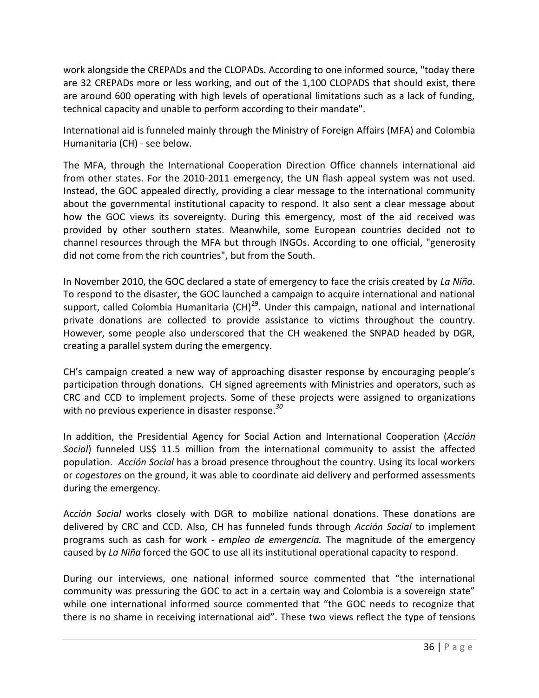work alongside the CREPADs and the CLOPADs. According to one informed source, "today there are 32 CREPADs more or less working, and out of the 1,100 CLOPADS that should exist, there are around 600 operating with high levels of operational limitations such as a lack of funding, technical capacity and unable to perform according to their mandate".

International aid is funneled mainly through the Ministry of Foreign Affairs (MFA) and Colombia Humanitaria (CH) - see below.

The MFA, through the International Cooperation Direction Office channels international aid from other states. For the 2010-2011 emergency, the UN flash appeal system was not used. Instead, the GOC appealed directly, providing a clear message to the international community about the governmental institutional capacity to respond. It also sent a clear message about how the GOC views its sovereignty. During this emergency, most of the aid received was provided by other southern states. Meanwhile, some European countries decided not to channel resources through the MFA but through INGOs. According to one official, "generosity did not come from the rich countries", but from the South.

In November 2010, the GOC declared a state of emergency to face the crisis created by *La Niña*. To respond to the disaster, the GOC launched a campaign to acquire international and national support, called Colombia Humanitaria (CH)<sup>29</sup>. Under this campaign, national and international private donations are collected to provide assistance to victims throughout the country. However, some people also underscored that the CH weakened the SNPAD headed by DGR, creating a parallel system during the emergency.

CH's campaign created a new way of approaching disaster response by encouraging people's participation through donations. CH signed agreements with Ministries and operators, such as CRC and CCD to implement projects. Some of these projects were assigned to organizations with no previous experience in disaster response. *30*

In addition, the Presidential Agency for Social Action and International Cooperation (*Acción Social*) funneled US\$ 11.5 million from the international community to assist the affected population. *Acción Social* has a broad presence throughout the country. Using its local workers or *cogestores* on the ground, it was able to coordinate aid delivery and performed assessments during the emergency.

Ac*ción Social* works closely with DGR to mobilize national donations. These donations are delivered by CRC and CCD. Also, CH has funneled funds through *Acción Social* to implement programs such as cash for work - *empleo de emergencia.* The magnitude of the emergency caused by *La Niña* forced the GOC to use all its institutional operational capacity to respond.

During our interviews, one national informed source commented that "the international community was pressuring the GOC to act in a certain way and Colombia is a sovereign state" while one international informed source commented that "the GOC needs to recognize that there is no shame in receiving international aid". These two views reflect the type of tensions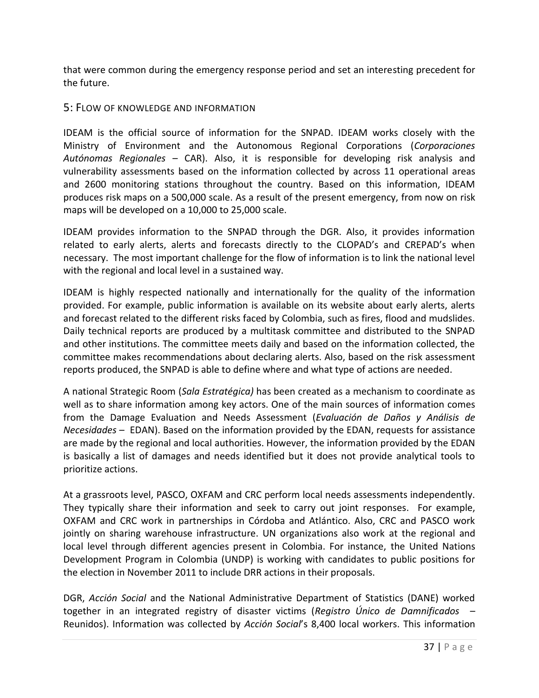that were common during the emergency response period and set an interesting precedent for the future.

#### 5: FLOW OF KNOWLEDGE AND INFORMATION

IDEAM is the official source of information for the SNPAD. IDEAM works closely with the Ministry of Environment and the Autonomous Regional Corporations (*Corporaciones Autónomas Regionales* – CAR). Also, it is responsible for developing risk analysis and vulnerability assessments based on the information collected by across 11 operational areas and 2600 monitoring stations throughout the country. Based on this information, IDEAM produces risk maps on a 500,000 scale. As a result of the present emergency, from now on risk maps will be developed on a 10,000 to 25,000 scale.

IDEAM provides information to the SNPAD through the DGR. Also, it provides information related to early alerts, alerts and forecasts directly to the CLOPAD's and CREPAD's when necessary. The most important challenge for the flow of information is to link the national level with the regional and local level in a sustained way.

IDEAM is highly respected nationally and internationally for the quality of the information provided. For example, public information is available on its website about early alerts, alerts and forecast related to the different risks faced by Colombia, such as fires, flood and mudslides. Daily technical reports are produced by a multitask committee and distributed to the SNPAD and other institutions. The committee meets daily and based on the information collected, the committee makes recommendations about declaring alerts. Also, based on the risk assessment reports produced, the SNPAD is able to define where and what type of actions are needed.

A national Strategic Room (*Sala Estratégica)* has been created as a mechanism to coordinate as well as to share information among key actors. One of the main sources of information comes from the Damage Evaluation and Needs Assessment (*Evaluación de Daños y Análisis de Necesidades* – EDAN). Based on the information provided by the EDAN, requests for assistance are made by the regional and local authorities. However, the information provided by the EDAN is basically a list of damages and needs identified but it does not provide analytical tools to prioritize actions.

At a grassroots level, PASCO, OXFAM and CRC perform local needs assessments independently. They typically share their information and seek to carry out joint responses. For example, OXFAM and CRC work in partnerships in Córdoba and Atlántico. Also, CRC and PASCO work jointly on sharing warehouse infrastructure. UN organizations also work at the regional and local level through different agencies present in Colombia. For instance, the United Nations Development Program in Colombia (UNDP) is working with candidates to public positions for the election in November 2011 to include DRR actions in their proposals.

DGR, *Acción Social* and the National Administrative Department of Statistics (DANE) worked together in an integrated registry of disaster victims (*Registro Único de Damnificados* – Reunidos). Information was collected by *Acción Social*'s 8,400 local workers. This information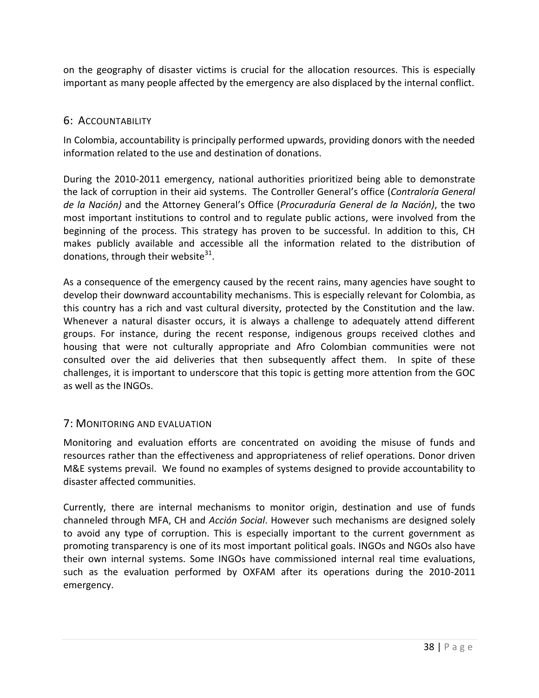on the geography of disaster victims is crucial for the allocation resources. This is especially important as many people affected by the emergency are also displaced by the internal conflict.

#### 6: ACCOUNTABILITY

In Colombia, accountability is principally performed upwards, providing donors with the needed information related to the use and destination of donations.

During the 2010-2011 emergency, national authorities prioritized being able to demonstrate the lack of corruption in their aid systems. The Controller General's office (*Contraloría General de la Nación)* and the Attorney General's Office (*Procuraduría General de la Nación)*, the two most important institutions to control and to regulate public actions, were involved from the beginning of the process. This strategy has proven to be successful. In addition to this, CH makes publicly available and accessible all the information related to the distribution of donations, through their website $^{31}$ .

As a consequence of the emergency caused by the recent rains, many agencies have sought to develop their downward accountability mechanisms. This is especially relevant for Colombia, as this country has a rich and vast cultural diversity, protected by the Constitution and the law. Whenever a natural disaster occurs, it is always a challenge to adequately attend different groups. For instance, during the recent response, indigenous groups received clothes and housing that were not culturally appropriate and Afro Colombian communities were not consulted over the aid deliveries that then subsequently affect them. In spite of these challenges, it is important to underscore that this topic is getting more attention from the GOC as well as the INGOs.

#### 7: MONITORING AND EVALUATION

Monitoring and evaluation efforts are concentrated on avoiding the misuse of funds and resources rather than the effectiveness and appropriateness of relief operations. Donor driven M&E systems prevail. We found no examples of systems designed to provide accountability to disaster affected communities.

Currently, there are internal mechanisms to monitor origin, destination and use of funds channeled through MFA, CH and *Acción Social*. However such mechanisms are designed solely to avoid any type of corruption. This is especially important to the current government as promoting transparency is one of its most important political goals. INGOs and NGOs also have their own internal systems. Some INGOs have commissioned internal real time evaluations, such as the evaluation performed by OXFAM after its operations during the 2010-2011 emergency.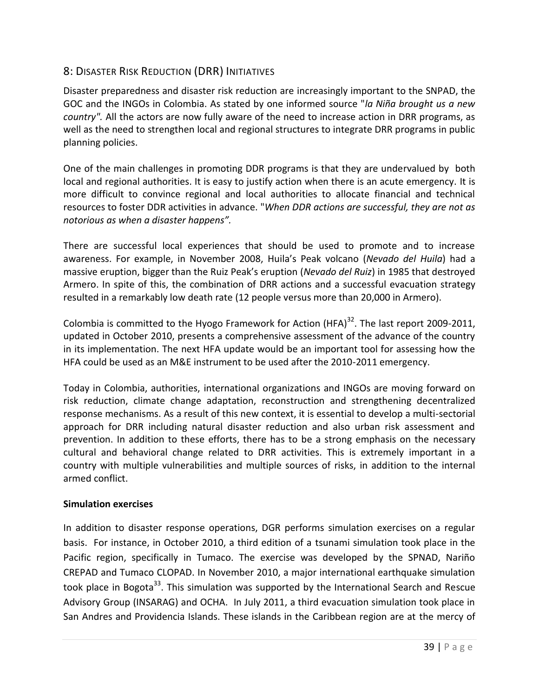## 8: DISASTER RISK REDUCTION (DRR) INITIATIVES

Disaster preparedness and disaster risk reduction are increasingly important to the SNPAD, the GOC and the INGOs in Colombia. As stated by one informed source "*la Niña brought us a new country".* All the actors are now fully aware of the need to increase action in DRR programs, as well as the need to strengthen local and regional structures to integrate DRR programs in public planning policies.

One of the main challenges in promoting DDR programs is that they are undervalued by both local and regional authorities. It is easy to justify action when there is an acute emergency. It is more difficult to convince regional and local authorities to allocate financial and technical resources to foster DDR activities in advance. "*When DDR actions are successful, they are not as notorious as when a disaster happens".* 

There are successful local experiences that should be used to promote and to increase awareness. For example, in November 2008, Huila's Peak volcano (*Nevado del Huila*) had a massive eruption, bigger than the Ruiz Peak's eruption (*Nevado del Ruiz*) in 1985 that destroyed Armero. In spite of this, the combination of DRR actions and a successful evacuation strategy resulted in a remarkably low death rate (12 people versus more than 20,000 in Armero).

Colombia is committed to the Hyogo Framework for Action  $(HFA)^{32}$ . The last report 2009-2011, updated in October 2010, presents a comprehensive assessment of the advance of the country in its implementation. The next HFA update would be an important tool for assessing how the HFA could be used as an M&E instrument to be used after the 2010-2011 emergency.

Today in Colombia, authorities, international organizations and INGOs are moving forward on risk reduction, climate change adaptation, reconstruction and strengthening decentralized response mechanisms. As a result of this new context, it is essential to develop a multi-sectorial approach for DRR including natural disaster reduction and also urban risk assessment and prevention. In addition to these efforts, there has to be a strong emphasis on the necessary cultural and behavioral change related to DRR activities. This is extremely important in a country with multiple vulnerabilities and multiple sources of risks, in addition to the internal armed conflict.

#### **Simulation exercises**

In addition to disaster response operations, DGR performs simulation exercises on a regular basis. For instance, in October 2010, a third edition of a tsunami simulation took place in the Pacific region, specifically in Tumaco. The exercise was developed by the SPNAD, Nariño CREPAD and Tumaco CLOPAD. In November 2010, a major international earthquake simulation took place in Bogota<sup>33</sup>. This simulation was supported by the International Search and Rescue Advisory Group (INSARAG) and OCHA. In July 2011, a third evacuation simulation took place in San Andres and Providencia Islands. These islands in the Caribbean region are at the mercy of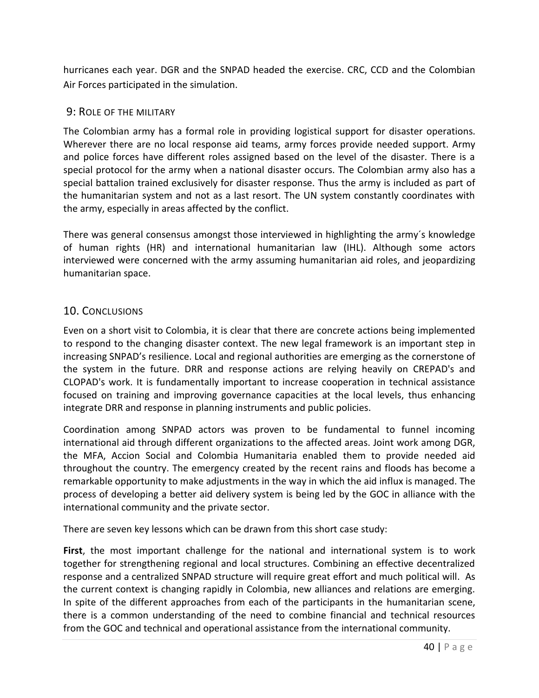hurricanes each year. DGR and the SNPAD headed the exercise. CRC, CCD and the Colombian Air Forces participated in the simulation.

#### 9: ROLE OF THE MILITARY

The Colombian army has a formal role in providing logistical support for disaster operations. Wherever there are no local response aid teams, army forces provide needed support. Army and police forces have different roles assigned based on the level of the disaster. There is a special protocol for the army when a national disaster occurs. The Colombian army also has a special battalion trained exclusively for disaster response. Thus the army is included as part of the humanitarian system and not as a last resort. The UN system constantly coordinates with the army, especially in areas affected by the conflict.

There was general consensus amongst those interviewed in highlighting the army´s knowledge of human rights (HR) and international humanitarian law (IHL). Although some actors interviewed were concerned with the army assuming humanitarian aid roles, and jeopardizing humanitarian space.

#### 10. CONCLUSIONS

Even on a short visit to Colombia, it is clear that there are concrete actions being implemented to respond to the changing disaster context. The new legal framework is an important step in increasing SNPAD's resilience. Local and regional authorities are emerging as the cornerstone of the system in the future. DRR and response actions are relying heavily on CREPAD's and CLOPAD's work. It is fundamentally important to increase cooperation in technical assistance focused on training and improving governance capacities at the local levels, thus enhancing integrate DRR and response in planning instruments and public policies.

Coordination among SNPAD actors was proven to be fundamental to funnel incoming international aid through different organizations to the affected areas. Joint work among DGR, the MFA, Accion Social and Colombia Humanitaria enabled them to provide needed aid throughout the country. The emergency created by the recent rains and floods has become a remarkable opportunity to make adjustments in the way in which the aid influx is managed. The process of developing a better aid delivery system is being led by the GOC in alliance with the international community and the private sector.

There are seven key lessons which can be drawn from this short case study:

**First**, the most important challenge for the national and international system is to work together for strengthening regional and local structures. Combining an effective decentralized response and a centralized SNPAD structure will require great effort and much political will. As the current context is changing rapidly in Colombia, new alliances and relations are emerging. In spite of the different approaches from each of the participants in the humanitarian scene, there is a common understanding of the need to combine financial and technical resources from the GOC and technical and operational assistance from the international community.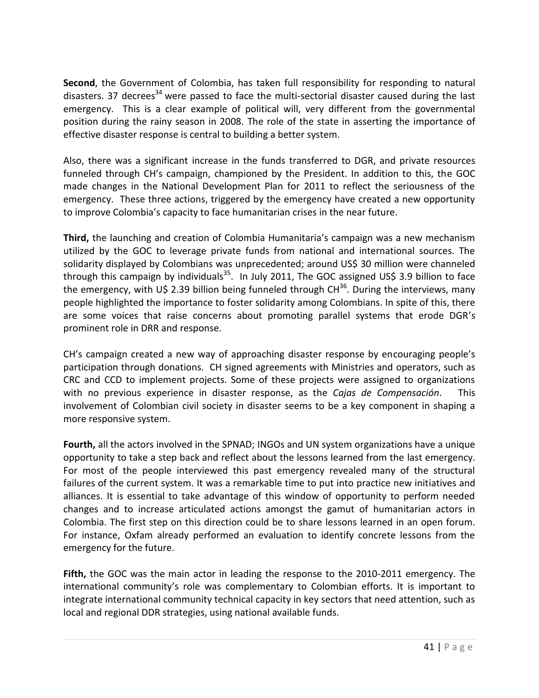**Second**, the Government of Colombia, has taken full responsibility for responding to natural disasters. 37 decrees<sup>34</sup> were passed to face the multi-sectorial disaster caused during the last emergency. This is a clear example of political will, very different from the governmental position during the rainy season in 2008. The role of the state in asserting the importance of effective disaster response is central to building a better system.

Also, there was a significant increase in the funds transferred to DGR, and private resources funneled through CH's campaign, championed by the President. In addition to this, the GOC made changes in the National Development Plan for 2011 to reflect the seriousness of the emergency. These three actions, triggered by the emergency have created a new opportunity to improve Colombia's capacity to face humanitarian crises in the near future.

**Third,** the launching and creation of Colombia Humanitaria's campaign was a new mechanism utilized by the GOC to leverage private funds from national and international sources. The solidarity displayed by Colombians was unprecedented; around US\$ 30 million were channeled through this campaign by individuals<sup>35</sup>. In July 2011, The GOC assigned US\$ 3.9 billion to face the emergency, with U\$ 2.39 billion being funneled through  $CH^{36}$ . During the interviews, many people highlighted the importance to foster solidarity among Colombians. In spite of this, there are some voices that raise concerns about promoting parallel systems that erode DGR's prominent role in DRR and response.

CH's campaign created a new way of approaching disaster response by encouraging people's participation through donations. CH signed agreements with Ministries and operators, such as CRC and CCD to implement projects. Some of these projects were assigned to organizations with no previous experience in disaster response, as the *Cajas de Compensación*. This involvement of Colombian civil society in disaster seems to be a key component in shaping a more responsive system.

**Fourth,** all the actors involved in the SPNAD; INGOs and UN system organizations have a unique opportunity to take a step back and reflect about the lessons learned from the last emergency. For most of the people interviewed this past emergency revealed many of the structural failures of the current system. It was a remarkable time to put into practice new initiatives and alliances. It is essential to take advantage of this window of opportunity to perform needed changes and to increase articulated actions amongst the gamut of humanitarian actors in Colombia. The first step on this direction could be to share lessons learned in an open forum. For instance, Oxfam already performed an evaluation to identify concrete lessons from the emergency for the future.

**Fifth,** the GOC was the main actor in leading the response to the 2010-2011 emergency. The international community's role was complementary to Colombian efforts. It is important to integrate international community technical capacity in key sectors that need attention, such as local and regional DDR strategies, using national available funds.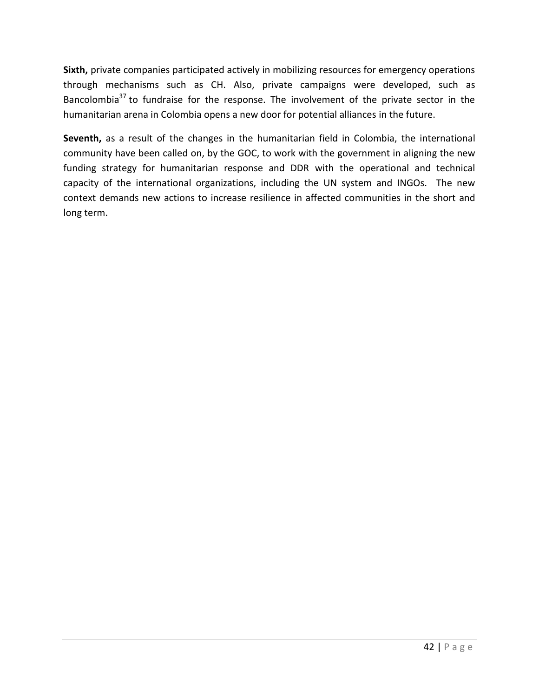**Sixth,** private companies participated actively in mobilizing resources for emergency operations through mechanisms such as CH. Also, private campaigns were developed, such as Bancolombia $37$  to fundraise for the response. The involvement of the private sector in the humanitarian arena in Colombia opens a new door for potential alliances in the future.

Seventh, as a result of the changes in the humanitarian field in Colombia, the international community have been called on, by the GOC, to work with the government in aligning the new funding strategy for humanitarian response and DDR with the operational and technical capacity of the international organizations, including the UN system and INGOs. The new context demands new actions to increase resilience in affected communities in the short and long term.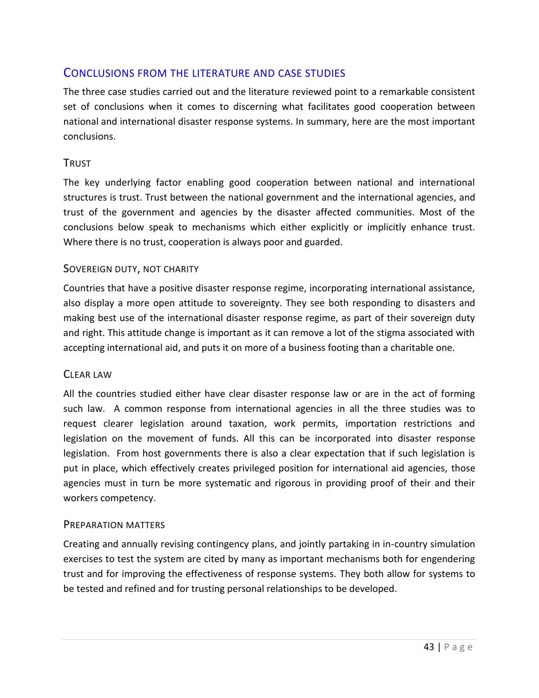## <span id="page-42-0"></span>CONCLUSIONS FROM THE LITERATURE AND CASE STUDIES

The three case studies carried out and the literature reviewed point to a remarkable consistent set of conclusions when it comes to discerning what facilitates good cooperation between national and international disaster response systems. In summary, here are the most important conclusions.

#### TRUST

The key underlying factor enabling good cooperation between national and international structures is trust. Trust between the national government and the international agencies, and trust of the government and agencies by the disaster affected communities. Most of the conclusions below speak to mechanisms which either explicitly or implicitly enhance trust. Where there is no trust, cooperation is always poor and guarded.

#### SOVEREIGN DUTY, NOT CHARITY

Countries that have a positive disaster response regime, incorporating international assistance, also display a more open attitude to sovereignty. They see both responding to disasters and making best use of the international disaster response regime, as part of their sovereign duty and right. This attitude change is important as it can remove a lot of the stigma associated with accepting international aid, and puts it on more of a business footing than a charitable one.

#### CLEAR LAW

All the countries studied either have clear disaster response law or are in the act of forming such law. A common response from international agencies in all the three studies was to request clearer legislation around taxation, work permits, importation restrictions and legislation on the movement of funds. All this can be incorporated into disaster response legislation. From host governments there is also a clear expectation that if such legislation is put in place, which effectively creates privileged position for international aid agencies, those agencies must in turn be more systematic and rigorous in providing proof of their and their workers competency.

#### PREPARATION MATTERS

Creating and annually revising contingency plans, and jointly partaking in in-country simulation exercises to test the system are cited by many as important mechanisms both for engendering trust and for improving the effectiveness of response systems. They both allow for systems to be tested and refined and for trusting personal relationships to be developed.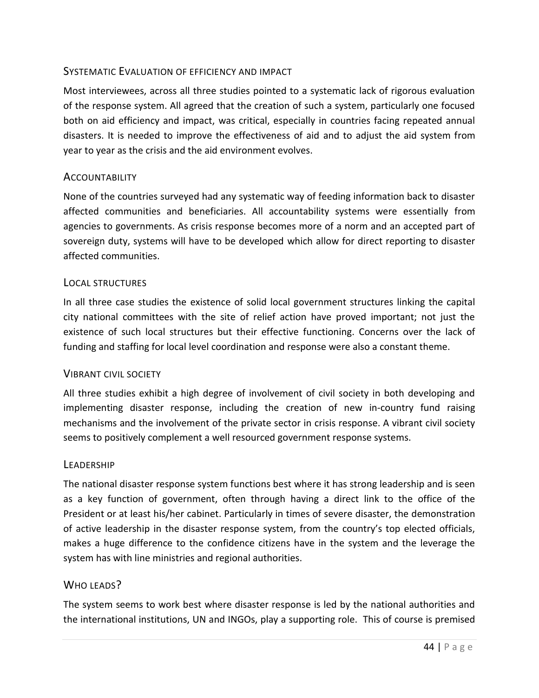#### SYSTEMATIC EVALUATION OF EFFICIENCY AND IMPACT

Most interviewees, across all three studies pointed to a systematic lack of rigorous evaluation of the response system. All agreed that the creation of such a system, particularly one focused both on aid efficiency and impact, was critical, especially in countries facing repeated annual disasters. It is needed to improve the effectiveness of aid and to adjust the aid system from year to year as the crisis and the aid environment evolves.

#### **ACCOUNTABILITY**

None of the countries surveyed had any systematic way of feeding information back to disaster affected communities and beneficiaries. All accountability systems were essentially from agencies to governments. As crisis response becomes more of a norm and an accepted part of sovereign duty, systems will have to be developed which allow for direct reporting to disaster affected communities.

#### LOCAL STRUCTURES

In all three case studies the existence of solid local government structures linking the capital city national committees with the site of relief action have proved important; not just the existence of such local structures but their effective functioning. Concerns over the lack of funding and staffing for local level coordination and response were also a constant theme.

#### VIBRANT CIVIL SOCIETY

All three studies exhibit a high degree of involvement of civil society in both developing and implementing disaster response, including the creation of new in-country fund raising mechanisms and the involvement of the private sector in crisis response. A vibrant civil society seems to positively complement a well resourced government response systems.

#### LEADERSHIP

The national disaster response system functions best where it has strong leadership and is seen as a key function of government, often through having a direct link to the office of the President or at least his/her cabinet. Particularly in times of severe disaster, the demonstration of active leadership in the disaster response system, from the country's top elected officials, makes a huge difference to the confidence citizens have in the system and the leverage the system has with line ministries and regional authorities.

#### WHO LEADS?

The system seems to work best where disaster response is led by the national authorities and the international institutions, UN and INGOs, play a supporting role. This of course is premised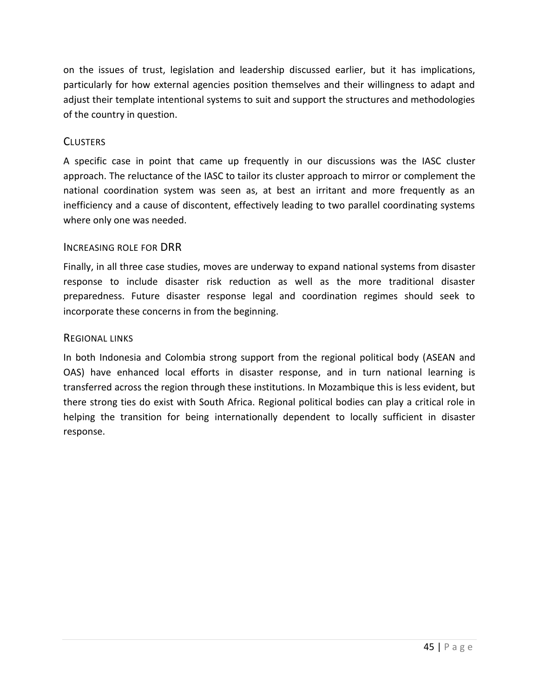on the issues of trust, legislation and leadership discussed earlier, but it has implications, particularly for how external agencies position themselves and their willingness to adapt and adjust their template intentional systems to suit and support the structures and methodologies of the country in question.

#### **CLUSTERS**

A specific case in point that came up frequently in our discussions was the IASC cluster approach. The reluctance of the IASC to tailor its cluster approach to mirror or complement the national coordination system was seen as, at best an irritant and more frequently as an inefficiency and a cause of discontent, effectively leading to two parallel coordinating systems where only one was needed.

#### INCREASING ROLE FOR DRR

Finally, in all three case studies, moves are underway to expand national systems from disaster response to include disaster risk reduction as well as the more traditional disaster preparedness. Future disaster response legal and coordination regimes should seek to incorporate these concerns in from the beginning.

#### REGIONAL LINKS

In both Indonesia and Colombia strong support from the regional political body (ASEAN and OAS) have enhanced local efforts in disaster response, and in turn national learning is transferred across the region through these institutions. In Mozambique this is less evident, but there strong ties do exist with South Africa. Regional political bodies can play a critical role in helping the transition for being internationally dependent to locally sufficient in disaster response.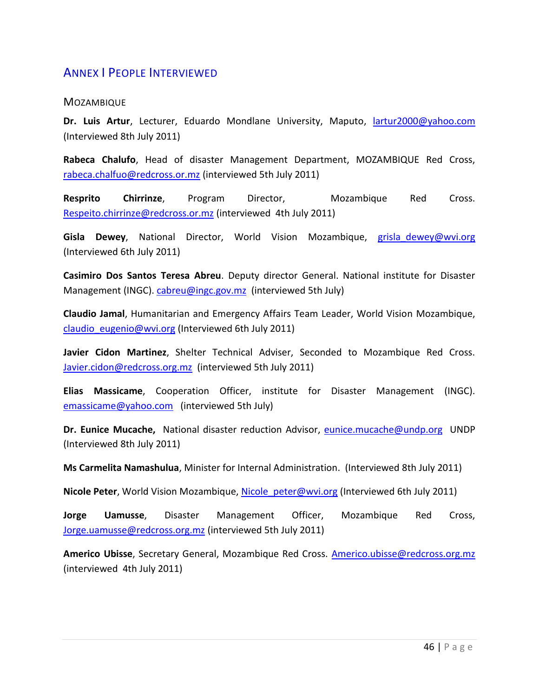## <span id="page-45-0"></span>ANNEX I PEOPLE INTERVIEWED

#### **MOZAMBIQUE**

**Dr. Luis Artur**, Lecturer, Eduardo Mondlane University, Maputo, [lartur2000@yahoo.com](mailto:lartur2000@yahoo.com) (Interviewed 8th July 2011)

**Rabeca Chalufo**, Head of disaster Management Department, MOZAMBIQUE Red Cross, [rabeca.chalfuo@redcross.or.mz](mailto:rabeca.chalfuo@redcross.or.mz) (interviewed 5th July 2011)

**Resprito Chirrinze**, Program Director, Mozambique Red Cross. [Respeito.chirrinze@redcross.or.mz](mailto:Respeito.chirrinze@redcross.or.mz) (interviewed 4th July 2011)

Gisla Dewey, National Director, World Vision Mozambique, grisla\_dewey@wvi.org (Interviewed 6th July 2011)

**Casimiro Dos Santos Teresa Abreu**. Deputy director General. National institute for Disaster Management (INGC). [cabreu@ingc.gov.mz](mailto:cabreu@ingc.gov.mz) (interviewed 5th July)

**Claudio Jamal**, Humanitarian and Emergency Affairs Team Leader, World Vision Mozambique, [claudio\\_eugenio@wvi.org](mailto:claudio_eugenio@wvi.org) (Interviewed 6th July 2011)

**Javier Cidon Martinez**, Shelter Technical Adviser, Seconded to Mozambique Red Cross. [Javier.cidon@redcross.org.mz](mailto:Javier.cidon@redcross.org.mz) (interviewed 5th July 2011)

**Elias Massicame**, Cooperation Officer, institute for Disaster Management (INGC). [emassicame@yahoo.com](mailto:emassicame@yahoo.com) (interviewed 5th July)

**Dr. Eunice Mucache,** National disaster reduction Advisor, [eunice.mucache@undp.org](mailto:eunice.mucache@undp.org) UNDP (Interviewed 8th July 2011)

**Ms Carmelita Namashulua**, Minister for Internal Administration. (Interviewed 8th July 2011)

**Nicole Peter**, World Vision Mozambique, Nicole peter@wvi.org (Interviewed 6th July 2011)

**Jorge Uamusse**, Disaster Management Officer, Mozambique Red Cross, [Jorge.uamusse@redcross.org.mz](mailto:Jorge.uamusse@redcross.org.mz) (interviewed 5th July 2011)

**Americo Ubisse**, Secretary General, Mozambique Red Cross. [Americo.ubisse@redcross.org.mz](mailto:Americo.ubisse@redcross.org.mz)  (interviewed 4th July 2011)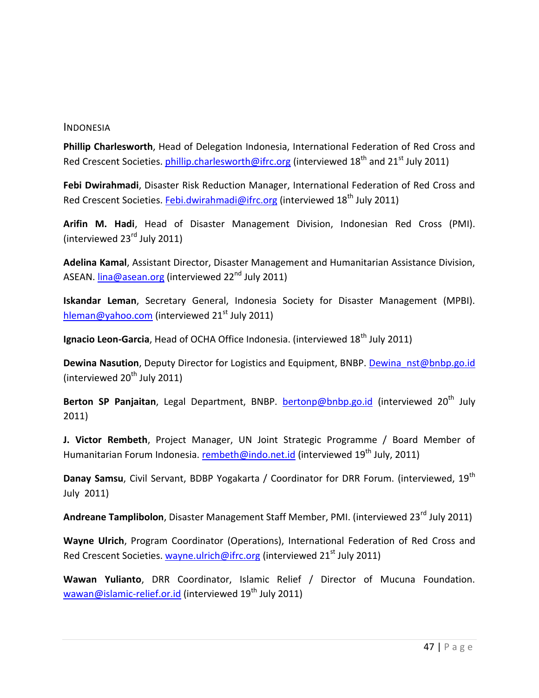#### INDONESIA

**Phillip Charlesworth**, Head of Delegation Indonesia, International Federation of Red Cross and Red Crescent Societies[. phillip.charlesworth@ifrc.org](mailto:phillip.charlesworth@ifrc.org) (interviewed 18<sup>th</sup> and 21<sup>st</sup> July 2011)

**Febi Dwirahmadi**, Disaster Risk Reduction Manager, International Federation of Red Cross and Red Crescent Societies[. Febi.dwirahmadi@ifrc.org](mailto:Febi.dwirahmadi@ifrc.org) (interviewed  $18<sup>th</sup>$  July 2011)

**Arifin M. Hadi**, Head of Disaster Management Division, Indonesian Red Cross (PMI). (interviewed 23rd July 2011)

**Adelina Kamal**, Assistant Director, Disaster Management and Humanitarian Assistance Division, ASEAN. [lina@asean.org](mailto:lina@asean.org) (interviewed 22<sup>nd</sup> July 2011)

**Iskandar Leman**, Secretary General, Indonesia Society for Disaster Management (MPBI). [hleman@yahoo.com](mailto:hleman@yahoo.com) (interviewed  $21<sup>st</sup>$  July 2011)

**Ignacio Leon-Garcia**, Head of OCHA Office Indonesia. (interviewed 18<sup>th</sup> July 2011)

**Dewina Nasution**, Deputy Director for Logistics and Equipment, BNBP. [Dewina\\_nst@bnbp.go.id](mailto:Dewina_nst@bnbp.go.id) (interviewed  $20<sup>th</sup>$  July 2011)

Berton SP Panjaitan, Legal Department, BNBP. **[bertonp@bnbp.go.id](mailto:bertonp@bnbp.go.id)** (interviewed 20<sup>th</sup> July 2011)

**J. Victor Rembeth**, Project Manager, UN Joint Strategic Programme / Board Member of Humanitarian Forum Indonesia. [rembeth@indo.net.id](mailto:rembeth@indo.net.id) (interviewed 19<sup>th</sup> July, 2011)

Danay Samsu, Civil Servant, BDBP Yogakarta / Coordinator for DRR Forum. (interviewed, 19<sup>th</sup> July 2011)

**Andreane Tamplibolon**, Disaster Management Staff Member, PMI. (interviewed 23<sup>rd</sup> July 2011)

**Wayne Ulrich**, Program Coordinator (Operations), International Federation of Red Cross and Red Crescent Societies[. wayne.ulrich@ifrc.org](mailto:wayne.ulrich@ifrc.org) (interviewed  $21<sup>st</sup>$  July 2011)

**Wawan Yulianto**, DRR Coordinator, Islamic Relief / Director of Mucuna Foundation. [wawan@islamic-relief.or.id](mailto:wawan@islamic-relief.or.id) (interviewed  $19<sup>th</sup>$  July 2011)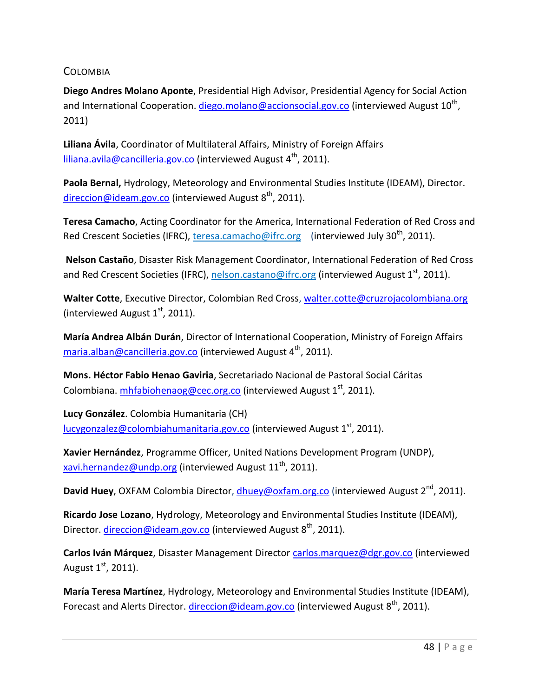**COLOMBIA** 

**Diego Andres Molano Aponte**, Presidential High Advisor, Presidential Agency for Social Action and International Cooperation. *diego.molano@accionsocial.gov.co* (interviewed August 10<sup>th</sup>, 2011)

**Liliana Ávila**, Coordinator of Multilateral Affairs, Ministry of Foreign Affairs [liliana.avila@cancilleria.gov.co](mailto:liliana.avila@cancilleria.gov.co) (interviewed August  $4^{th}$ , 2011).

**Paola Bernal,** Hydrology, Meteorology and Environmental Studies Institute (IDEAM), Director. [direccion@ideam.gov.co](mailto:direccion@ideam.gov.co) (interviewed August  $8<sup>th</sup>$ , 2011).

**Teresa Camacho**, Acting Coordinator for the America, International Federation of Red Cross and Red Crescent Societies (IFRC), teresa.camacho@ifrc.org (interviewed July 30<sup>th</sup>, 2011).

**Nelson Castaño**, Disaster Risk Management Coordinator, International Federation of Red Cross and Red Crescent Societies (IFRC), nelson.castano@ifrc.org (interviewed August 1<sup>st</sup>, 2011).

Walter Cotte, Executive Director, Colombian Red Cross, [walter.cotte@cruzrojacolombiana.org](mailto:walter.cotte@cruzrojacolombiana.org) (interviewed August  $1<sup>st</sup>$ , 2011).

**María Andrea Albán Durán**, Director of International Cooperation, Ministry of Foreign Affairs [maria.alban@cancilleria.gov.co](mailto:maria.alban@cancilleria.gov.co) (interviewed August  $4^{th}$ , 2011).

**Mons. Héctor Fabio Henao Gaviria**, Secretariado Nacional de Pastoral Social Cáritas Colombiana. [mhfabiohenaog@cec.org.co](mailto:mhfabiohenaog@cec.org.co) (interviewed August 1<sup>st</sup>, 2011).

**Lucy González**. Colombia Humanitaria (CH) [lucygonzalez@colombiahumanitaria.gov.co](mailto:lucygonzalez@colombiahumanitaria.gov.co) (interviewed August  $1<sup>st</sup>$ , 2011).

**Xavier Hernández**, Programme Officer, United Nations Development Program (UNDP), [xavi.hernandez@undp.org](mailto:xavi.hernandez@undp.org) (interviewed August  $11^{th}$ , 2011).

**David Huey**, OXFAM Colombia Director, [dhuey@oxfam.org.co](mailto:dhuey@oxfam.org.co) (interviewed August 2<sup>nd</sup>, 2011).

**Ricardo Jose Lozano**, Hydrology, Meteorology and Environmental Studies Institute (IDEAM), Director. [direccion@ideam.gov.co](mailto:direccion@ideam.gov.co) (interviewed August 8<sup>th</sup>, 2011).

**Carlos Iván Márquez**, Disaster Management Director [carlos.marquez@dgr.gov.co](mailto:carlos.marquez@dgr.gov.co) (interviewed August  $1<sup>st</sup>$ , 2011).

**María Teresa Martínez**, Hydrology, Meteorology and Environmental Studies Institute (IDEAM), Forecast and Alerts Director. [direccion@ideam.gov.co](mailto:direccion@ideam.gov.co) (interviewed August 8<sup>th</sup>, 2011).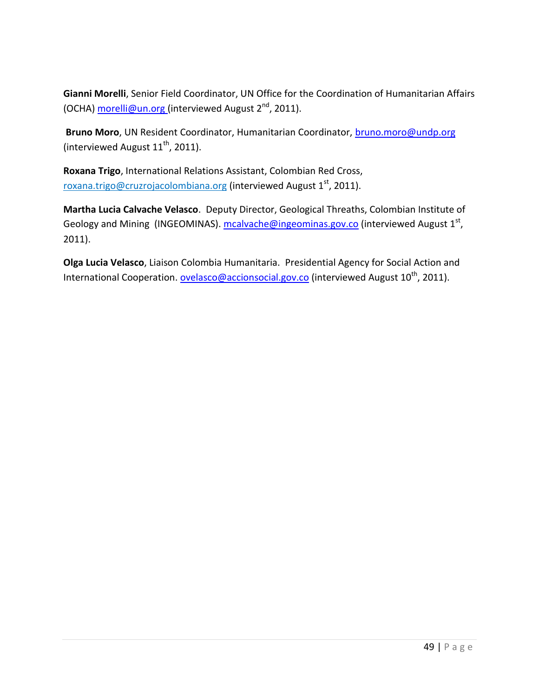**Gianni Morelli**, Senior Field Coordinator, UN Office for the Coordination of Humanitarian Affairs (OCHA) [morelli@un.org \(](mailto:morelli@un.org)interviewed August  $2<sup>nd</sup>$ , 2011).

**Bruno Moro**, UN Resident Coordinator, Humanitarian Coordinator, [bruno.moro@undp.org](mailto:bruno.moro@undp.org) (interviewed August  $11^{th}$ , 2011).

**Roxana Trigo**, International Relations Assistant, Colombian Red Cross, roxana.trigo@cruzrojacolombiana.org (interviewed August  $1<sup>st</sup>$ , 2011).

**Martha Lucia Calvache Velasco**. Deputy Director, Geological Threaths, Colombian Institute of Geology and Mining (INGEOMINAS). [mcalvache@ingeominas.gov.co](mailto:mcalvache@ingeominas.gov.co) (interviewed August 1<sup>st</sup>, 2011).

**Olga Lucia Velasco**, Liaison Colombia Humanitaria. Presidential Agency for Social Action and International Cooperation[. ovelasco@accionsocial.gov.co](mailto:ovelasco@accionsocial.gov.co) (interviewed August  $10^{th}$ , 2011).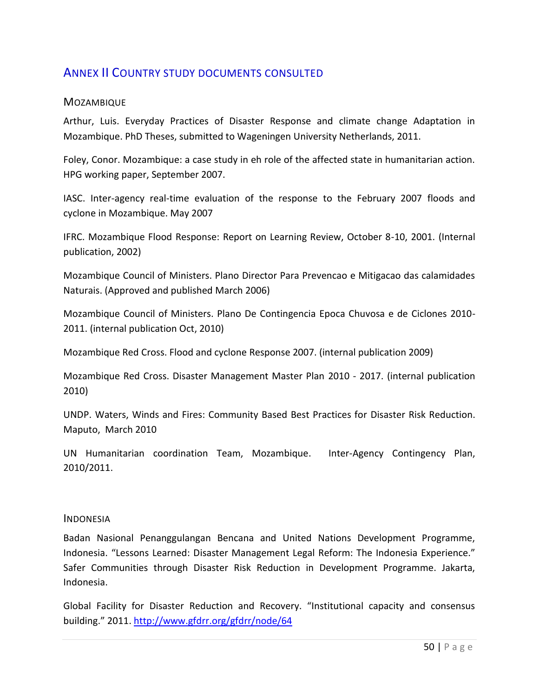## <span id="page-49-0"></span>ANNEX II COUNTRY STUDY DOCUMENTS CONSULTED

#### **MOZAMBIQUE**

Arthur, Luis. Everyday Practices of Disaster Response and climate change Adaptation in Mozambique. PhD Theses, submitted to Wageningen University Netherlands, 2011.

Foley, Conor. Mozambique: a case study in eh role of the affected state in humanitarian action. HPG working paper, September 2007.

IASC. Inter-agency real-time evaluation of the response to the February 2007 floods and cyclone in Mozambique. May 2007

IFRC. Mozambique Flood Response: Report on Learning Review, October 8-10, 2001. (Internal publication, 2002)

Mozambique Council of Ministers. Plano Director Para Prevencao e Mitigacao das calamidades Naturais. (Approved and published March 2006)

Mozambique Council of Ministers. Plano De Contingencia Epoca Chuvosa e de Ciclones 2010- 2011. (internal publication Oct, 2010)

Mozambique Red Cross. Flood and cyclone Response 2007. (internal publication 2009)

Mozambique Red Cross. Disaster Management Master Plan 2010 - 2017. (internal publication 2010)

UNDP. Waters, Winds and Fires: Community Based Best Practices for Disaster Risk Reduction. Maputo, March 2010

UN Humanitarian coordination Team, Mozambique. Inter-Agency Contingency Plan, 2010/2011.

#### INDONESIA

Badan Nasional Penanggulangan Bencana and United Nations Development Programme, Indonesia. "Lessons Learned: Disaster Management Legal Reform: The Indonesia Experience." Safer Communities through Disaster Risk Reduction in Development Programme. Jakarta, Indonesia.

Global Facility for Disaster Reduction and Recovery. "Institutional capacity and consensus building." 2011. <http://www.gfdrr.org/gfdrr/node/64>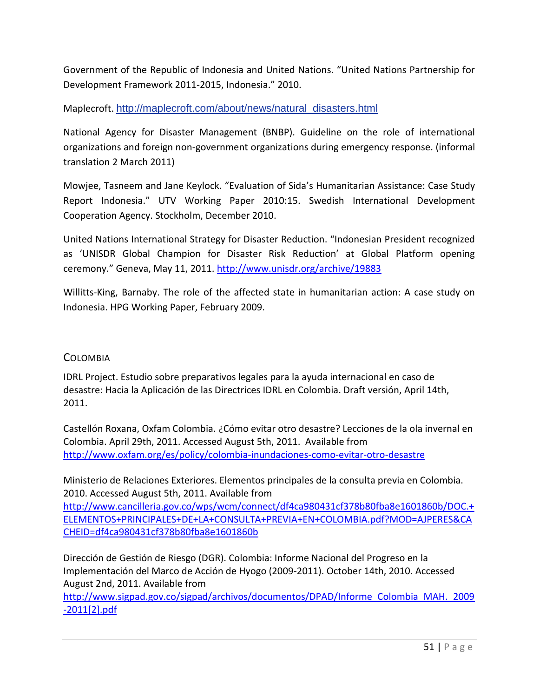Government of the Republic of Indonesia and United Nations. "United Nations Partnership for Development Framework 2011-2015, Indonesia." 2010.

Maplecroft. [http://maplecroft.com/about/news/natural\\_disasters.html](http://maplecroft.com/about/news/natural_disasters.html)

National Agency for Disaster Management (BNBP). Guideline on the role of international organizations and foreign non-government organizations during emergency response. (informal translation 2 March 2011)

Mowjee, Tasneem and Jane Keylock. "Evaluation of Sida's Humanitarian Assistance: Case Study Report Indonesia." UTV Working Paper 2010:15. Swedish International Development Cooperation Agency. Stockholm, December 2010.

United Nations International Strategy for Disaster Reduction. "Indonesian President recognized as 'UNISDR Global Champion for Disaster Risk Reduction' at Global Platform opening ceremony." Geneva, May 11, 2011. <http://www.unisdr.org/archive/19883>

Willitts-King, Barnaby. The role of the affected state in humanitarian action: A case study on Indonesia. HPG Working Paper, February 2009.

#### **COLOMBIA**

IDRL Project. Estudio sobre preparativos legales para la ayuda internacional en caso de desastre: Hacia la Aplicación de las Directrices IDRL en Colombia. Draft versión, April 14th, 2011.

Castellón Roxana, Oxfam Colombia. ¿Cómo evitar otro desastre? Lecciones de la ola invernal en Colombia. April 29th, 2011. Accessed August 5th, 2011. Available from <http://www.oxfam.org/es/policy/colombia-inundaciones-como-evitar-otro-desastre>

Ministerio de Relaciones Exteriores. Elementos principales de la consulta previa en Colombia. 2010. Accessed August 5th, 2011. Available from

[http://www.cancilleria.gov.co/wps/wcm/connect/df4ca980431cf378b80fba8e1601860b/DOC.+](http://www.cancilleria.gov.co/wps/wcm/connect/df4ca980431cf378b80fba8e1601860b/DOC.+ELEMENTOS+PRINCIPALES+DE+LA+CONSULTA+PREVIA+EN+COLOMBIA.pdf?MOD=AJPERES&CACHEID=df4ca980431cf378b80fba8e1601860b) [ELEMENTOS+PRINCIPALES+DE+LA+CONSULTA+PREVIA+EN+COLOMBIA.pdf?MOD=AJPERES&CA](http://www.cancilleria.gov.co/wps/wcm/connect/df4ca980431cf378b80fba8e1601860b/DOC.+ELEMENTOS+PRINCIPALES+DE+LA+CONSULTA+PREVIA+EN+COLOMBIA.pdf?MOD=AJPERES&CACHEID=df4ca980431cf378b80fba8e1601860b) [CHEID=df4ca980431cf378b80fba8e1601860b](http://www.cancilleria.gov.co/wps/wcm/connect/df4ca980431cf378b80fba8e1601860b/DOC.+ELEMENTOS+PRINCIPALES+DE+LA+CONSULTA+PREVIA+EN+COLOMBIA.pdf?MOD=AJPERES&CACHEID=df4ca980431cf378b80fba8e1601860b)

Dirección de Gestión de Riesgo (DGR). Colombia: Informe Nacional del Progreso en la Implementación del Marco de Acción de Hyogo (2009-2011). October 14th, 2010. Accessed August 2nd, 2011. Available from

[http://www.sigpad.gov.co/sigpad/archivos/documentos/DPAD/Informe\\_Colombia\\_MAH.\\_2009](http://www.sigpad.gov.co/sigpad/archivos/documentos/DPAD/Informe_Colombia_MAH._2009-2011%5b2%5d.pdf) [-2011\[2\].pdf](http://www.sigpad.gov.co/sigpad/archivos/documentos/DPAD/Informe_Colombia_MAH._2009-2011%5b2%5d.pdf)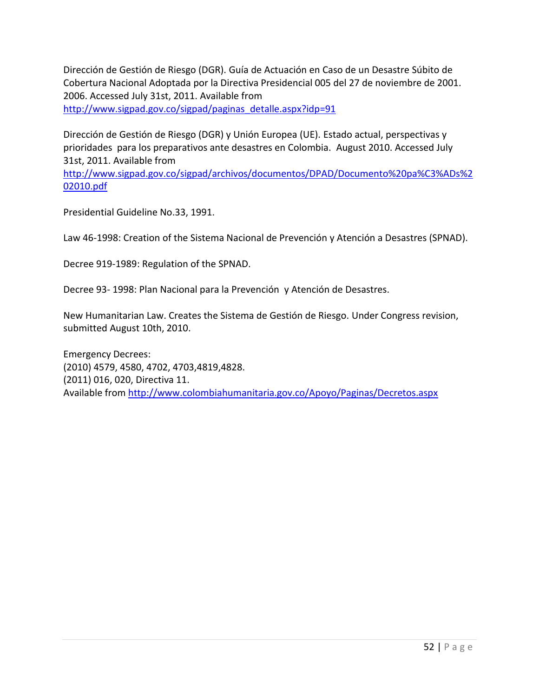Dirección de Gestión de Riesgo (DGR). Guía de Actuación en Caso de un Desastre Súbito de Cobertura Nacional Adoptada por la Directiva Presidencial 005 del 27 de noviembre de 2001. 2006. Accessed July 31st, 2011. Available from [http://www.sigpad.gov.co/sigpad/paginas\\_detalle.aspx?idp=91](http://www.sigpad.gov.co/sigpad/paginas_detalle.aspx?idp=91)

Dirección de Gestión de Riesgo (DGR) y Unión Europea (UE). Estado actual, perspectivas y prioridades para los preparativos ante desastres en Colombia. August 2010. Accessed July 31st, 2011. Available from

[http://www.sigpad.gov.co/sigpad/archivos/documentos/DPAD/Documento%20pa%C3%ADs%2](http://www.sigpad.gov.co/sigpad/archivos/documentos/DPAD/Documento%20pa%C3%ADs%202010.pdf) [02010.pdf](http://www.sigpad.gov.co/sigpad/archivos/documentos/DPAD/Documento%20pa%C3%ADs%202010.pdf)

Presidential Guideline No.33, 1991.

Law 46-1998: Creation of the Sistema Nacional de Prevención y Atención a Desastres (SPNAD).

Decree 919-1989: Regulation of the SPNAD.

Decree 93- 1998: Plan Nacional para la Prevención y Atención de Desastres.

New Humanitarian Law. Creates the Sistema de Gestión de Riesgo. Under Congress revision, submitted August 10th, 2010.

<span id="page-51-0"></span>Emergency Decrees: (2010) 4579, 4580, 4702, 4703,4819,4828. (2011) 016, 020, Directiva 11. Available fro[m http://www.colombiahumanitaria.gov.co/Apoyo/Paginas/Decretos.aspx](http://www.colombiahumanitaria.gov.co/Apoyo/Paginas/Decretos.aspx)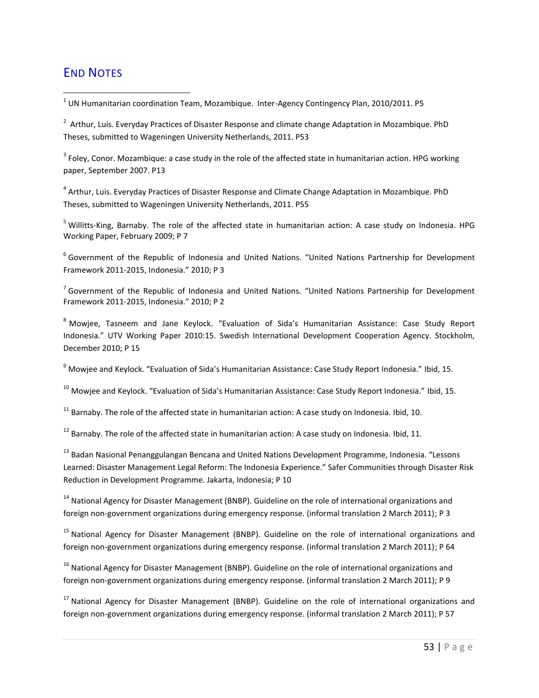# END NOTES

 $\overline{a}$ 

 $^{1}$  UN Humanitarian coordination Team, Mozambique. Inter-Agency Contingency Plan, 2010/2011. P5

<sup>2</sup> Arthur, Luis. Everyday Practices of Disaster Response and climate change Adaptation in Mozambique. PhD Theses, submitted to Wageningen University Netherlands, 2011. P53

 $^3$  Foley, Conor. Mozambique: a case study in the role of the affected state in humanitarian action. HPG working paper, September 2007. P13

<sup>4</sup> Arthur, Luis. Everyday Practices of Disaster Response and Climate Change Adaptation in Mozambique. PhD Theses, submitted to Wageningen University Netherlands, 2011. P55

<sup>5</sup> Willitts-King, Barnaby. The role of the affected state in humanitarian action: A case study on Indonesia. HPG Working Paper, February 2009; P 7

<sup>6</sup> Government of the Republic of Indonesia and United Nations. "United Nations Partnership for Development Framework 2011-2015, Indonesia." 2010; P 3

<sup>7</sup> Government of the Republic of Indonesia and United Nations. "United Nations Partnership for Development Framework 2011-2015, Indonesia." 2010; P 2

<sup>8</sup> Mowjee, Tasneem and Jane Keylock. "Evaluation of Sida's Humanitarian Assistance: Case Study Report Indonesia." UTV Working Paper 2010:15. Swedish International Development Cooperation Agency. Stockholm, December 2010; P 15

<sup>9</sup> Mowjee and Keylock. "Evaluation of Sida's Humanitarian Assistance: Case Study Report Indonesia." Ibid, 15.

 $10$  Mowjee and Keylock. "Evaluation of Sida's Humanitarian Assistance: Case Study Report Indonesia." Ibid, 15.

 $11$  Barnaby. The role of the affected state in humanitarian action: A case study on Indonesia. Ibid, 10.

<sup>12</sup> Barnaby. The role of the affected state in humanitarian action: A case study on Indonesia. Ibid. 11.

<sup>13</sup> Badan Nasional Penanggulangan Bencana and United Nations Development Programme, Indonesia. "Lessons Learned: Disaster Management Legal Reform: The Indonesia Experience." Safer Communities through Disaster Risk Reduction in Development Programme. Jakarta, Indonesia; P 10

<sup>14</sup> National Agency for Disaster Management (BNBP). Guideline on the role of international organizations and foreign non-government organizations during emergency response. (informal translation 2 March 2011); P 3

<sup>15</sup> National Agency for Disaster Management (BNBP). Guideline on the role of international organizations and foreign non-government organizations during emergency response. (informal translation 2 March 2011); P 64

<sup>16</sup> National Agency for Disaster Management (BNBP). Guideline on the role of international organizations and foreign non-government organizations during emergency response. (informal translation 2 March 2011); P 9

<sup>17</sup> National Agency for Disaster Management (BNBP). Guideline on the role of international organizations and foreign non-government organizations during emergency response. (informal translation 2 March 2011); P 57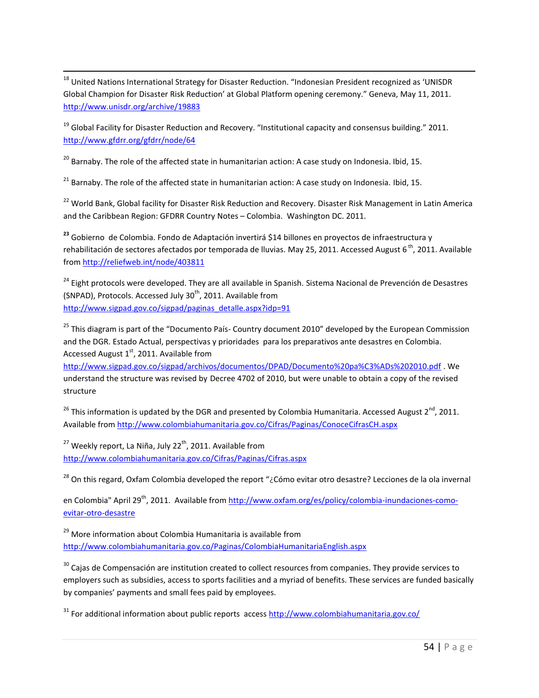$\overline{a}$ <sup>18</sup> United Nations International Strategy for Disaster Reduction. "Indonesian President recognized as 'UNISDR Global Champion for Disaster Risk Reduction' at Global Platform opening ceremony." Geneva, May 11, 2011. <http://www.unisdr.org/archive/19883>

<sup>19</sup> Global Facility for Disaster Reduction and Recovery. "Institutional capacity and consensus building." 2011. <http://www.gfdrr.org/gfdrr/node/64>

<sup>20</sup> Barnaby. The role of the affected state in humanitarian action: A case study on Indonesia. Ibid, 15.

 $21$  Barnaby. The role of the affected state in humanitarian action: A case study on Indonesia. Ibid, 15.

<sup>22</sup> World Bank, Global facility for Disaster Risk Reduction and Recovery. Disaster Risk Management in Latin America and the Caribbean Region: GFDRR Country Notes – Colombia. Washington DC. 2011.

**<sup>23</sup>** Gobierno de Colombia. Fondo de Adaptación invertirá \$14 billones en proyectos de infraestructura y rehabilitación de sectores afectados por temporada de lluvias. May 25, 2011. Accessed August 6<sup>th</sup>, 2011. Available from <http://reliefweb.int/node/403811>

<sup>24</sup> Eight protocols were developed. They are all available in Spanish. Sistema Nacional de Prevención de Desastres (SNPAD), Protocols. Accessed July  $30<sup>th</sup>$ , 2011. Available from [http://www.sigpad.gov.co/sigpad/paginas\\_detalle.aspx?idp=91](http://www.sigpad.gov.co/sigpad/paginas_detalle.aspx?idp=91)

<sup>25</sup> This diagram is part of the "Documento País- Country document 2010" developed by the European Commission and the DGR. Estado Actual, perspectivas y prioridades para los preparativos ante desastres en Colombia. Accessed August  $1<sup>st</sup>$ , 2011. Available from

<http://www.sigpad.gov.co/sigpad/archivos/documentos/DPAD/Documento%20pa%C3%ADs%202010.pdf> . We understand the structure was revised by Decree 4702 of 2010, but were unable to obtain a copy of the revised structure

<sup>26</sup> This information is updated by the DGR and presented by Colombia Humanitaria. Accessed August 2<sup>nd</sup>, 2011. Available from<http://www.colombiahumanitaria.gov.co/Cifras/Paginas/ConoceCifrasCH.aspx>

 $27$  Weekly report, La Niña, July 22<sup>th</sup>, 2011. Available from <http://www.colombiahumanitaria.gov.co/Cifras/Paginas/Cifras.aspx>

<sup>28</sup> On this regard, Oxfam Colombia developed the report "¿Cómo evitar otro desastre? Lecciones de la ola invernal

en Colombia" April 29<sup>th</sup>, 2011. Available from [http://www.oxfam.org/es/policy/colombia-inundaciones-como](http://www.oxfam.org/es/policy/colombia-inundaciones-como-evitar-otro-desastre)[evitar-otro-desastre](http://www.oxfam.org/es/policy/colombia-inundaciones-como-evitar-otro-desastre)

<sup>29</sup> More information about Colombia Humanitaria is available from <http://www.colombiahumanitaria.gov.co/Paginas/ColombiaHumanitariaEnglish.aspx>

<sup>30</sup> Cajas de Compensación are institution created to collect resources from companies. They provide services to employers such as subsidies, access to sports facilities and a myriad of benefits. These services are funded basically by companies' payments and small fees paid by employees.

 $31$  For additional information about public reports acces[s http://www.colombiahumanitaria.gov.co/](http://www.colombiahumanitaria.gov.co/)